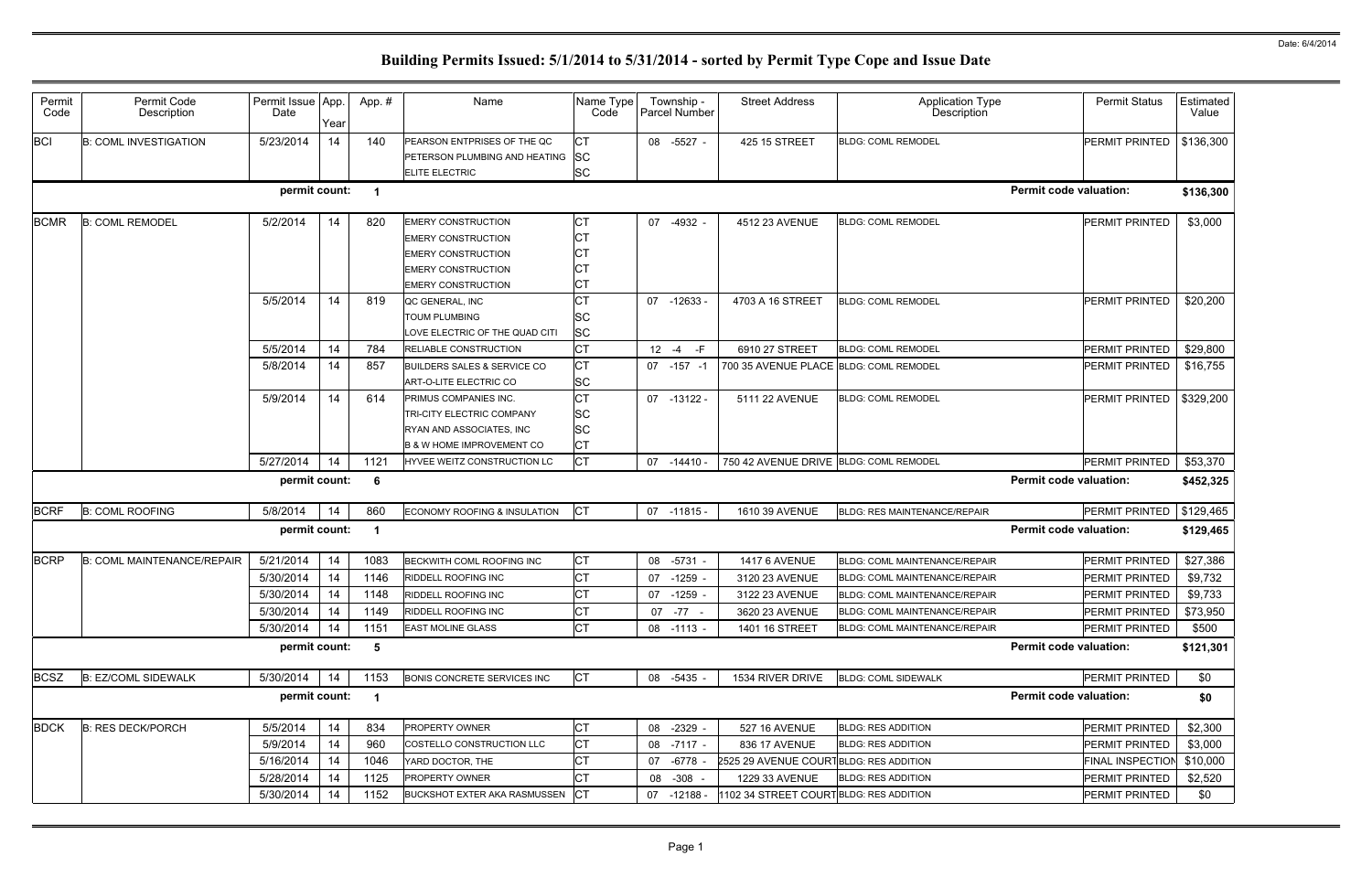| Permit<br>Code | Permit Code<br>Description        | Permit Issue App.<br>Date | Year | App.#                | Name                                                                                                                                          | Name Type<br>Code           |          | Township -<br>Parcel Number | <b>Street Address</b>                   | <b>Application Type</b><br>Description |                               | <b>Permit Status</b>  | Estimated<br>Value |
|----------------|-----------------------------------|---------------------------|------|----------------------|-----------------------------------------------------------------------------------------------------------------------------------------------|-----------------------------|----------|-----------------------------|-----------------------------------------|----------------------------------------|-------------------------------|-----------------------|--------------------|
| <b>BCI</b>     | <b>B: COML INVESTIGATION</b>      | 5/23/2014                 | 14   | 140                  | PEARSON ENTPRISES OF THE QC<br>PETERSON PLUMBING AND HEATING<br><b>ELITE ELECTRIC</b>                                                         | СT<br>SC<br><b>SC</b>       |          | 08 -5527 -                  | 425 15 STREET                           | <b>BLDG: COML REMODEL</b>              |                               | <b>PERMIT PRINTED</b> | \$136,300          |
|                |                                   | permit count:             |      |                      |                                                                                                                                               |                             |          |                             |                                         |                                        | <b>Permit code valuation:</b> |                       | \$136,300          |
| <b>BCMR</b>    | <b>B: COML REMODEL</b>            | 5/2/2014                  | 14   | 820                  | <b>EMERY CONSTRUCTION</b><br><b>EMERY CONSTRUCTION</b><br><b>EMERY CONSTRUCTION</b><br><b>EMERY CONSTRUCTION</b><br><b>EMERY CONSTRUCTION</b> | СT<br>СT<br>CТ              | 07       | $-4932$ .                   | 4512 23 AVENUE                          | <b>BLDG: COML REMODEL</b>              |                               | <b>PERMIT PRINTED</b> | \$3,000            |
|                |                                   | 5/5/2014                  | 14   | 819                  | QC GENERAL, INC<br><b>TOUM PLUMBING</b><br>LOVE ELECTRIC OF THE QUAD CITI                                                                     | CТ<br>SC<br>SC              |          | 07 -12633                   | 4703 A 16 STREET                        | <b>BLDG: COML REMODEL</b>              |                               | PERMIT PRINTED        | \$20,200           |
|                |                                   | 5/5/2014                  | 14   | 784                  | <b>RELIABLE CONSTRUCTION</b>                                                                                                                  | СT                          | $12 - 4$ | $-F$                        | 6910 27 STREET                          | <b>BLDG: COML REMODEL</b>              |                               | PERMIT PRINTED        | \$29,800           |
|                |                                   | 5/8/2014                  | 14   | 857                  | <b>BUILDERS SALES &amp; SERVICE CO</b><br>ART-O-LITE ELECTRIC CO                                                                              | СT<br>SC                    |          | 07 -157 -1                  | 700 35 AVENUE PLACE BLDG: COML REMODEL  |                                        |                               | <b>PERMIT PRINTED</b> | \$16,755           |
|                |                                   | 5/9/2014                  | 14   | 614                  | PRIMUS COMPANIES INC.<br>TRI-CITY ELECTRIC COMPANY<br>RYAN AND ASSOCIATES, INC<br><b>B &amp; W HOME IMPROVEMENT CO</b>                        | СT<br>SC<br><b>SC</b><br>CТ |          | 07 -13122                   | 5111 22 AVENUE                          | <b>BLDG: COML REMODEL</b>              |                               | <b>PERMIT PRINTED</b> | \$329,200          |
|                |                                   | 5/27/2014                 | 14   | 1121                 | HYVEE WEITZ CONSTRUCTION LC                                                                                                                   | <b>CT</b>                   |          | 07 -14410 -                 | 750 42 AVENUE DRIVE BLDG: COML REMODEL  |                                        |                               | <b>PERMIT PRINTED</b> | \$53,370           |
|                |                                   | permit count:             |      | 6                    |                                                                                                                                               |                             |          |                             |                                         |                                        | <b>Permit code valuation:</b> |                       | \$452,325          |
| <b>BCRF</b>    | <b>B: COML ROOFING</b>            | 5/8/2014                  | 14   | 860                  | ECONOMY ROOFING & INSULATION                                                                                                                  | СT                          |          | 07 -11815 -                 | 1610 39 AVENUE                          | BLDG: RES MAINTENANCE/REPAIR           |                               | PERMIT PRINTED        | \$129,465          |
|                |                                   | permit count:             |      | -1                   |                                                                                                                                               |                             |          |                             |                                         |                                        | <b>Permit code valuation:</b> |                       | \$129,465          |
| <b>BCRP</b>    | <b>B: COML MAINTENANCE/REPAIR</b> | 5/21/2014                 | 14   | 1083                 | BECKWITH COML ROOFING INC                                                                                                                     | СT                          |          | 08 -5731 -                  | <b>1417 6 AVENUE</b>                    | <b>BLDG: COML MAINTENANCE/REPAIR</b>   |                               | <b>PERMIT PRINTED</b> | \$27,386           |
|                |                                   | 5/30/2014                 | 14   | 1146                 | <b>RIDDELL ROOFING INC</b>                                                                                                                    | СT                          | 07       | -1259 -                     | 3120 23 AVENUE                          | <b>BLDG: COML MAINTENANCE/REPAIR</b>   |                               | <b>PERMIT PRINTED</b> | \$9,732            |
|                |                                   | 5/30/2014                 | 14   | 1148                 | <b>RIDDELL ROOFING INC</b>                                                                                                                    | CΙ                          |          | 07 -1259 -                  | 3122 23 AVENUE                          | <b>BLDG: COML MAINTENANCE/REPAIR</b>   |                               | <b>PERMIT PRINTED</b> | \$9,733            |
|                |                                   | 5/30/2014                 | 14   | 1149                 | <b>RIDDELL ROOFING INC</b>                                                                                                                    | СT                          |          | 07 -77 -                    | 3620 23 AVENUE                          | <b>BLDG: COML MAINTENANCE/REPAIR</b>   |                               | PERMIT PRINTED        | \$73,950           |
|                |                                   | 5/30/2014                 | 14   | 1151                 | <b>EAST MOLINE GLASS</b>                                                                                                                      | СT                          |          | 08 -1113 -                  | 1401 16 STREET                          | BLDG: COML MAINTENANCE/REPAIR          |                               | <b>PERMIT PRINTED</b> | \$500              |
|                |                                   | permit count:             |      | $5\phantom{1}$       |                                                                                                                                               |                             |          |                             |                                         |                                        | <b>Permit code valuation:</b> |                       | \$121,301          |
| <b>BCSZ</b>    | <b>B: EZ/COML SIDEWALK</b>        | 5/30/2014                 | 14   | 1153                 | BONIS CONCRETE SERVICES INC                                                                                                                   | <b>CT</b>                   |          | 08 -5435 -                  | 1534 RIVER DRIVE                        | <b>BLDG: COML SIDEWALK</b>             |                               | PERMIT PRINTED        | \$0                |
|                |                                   | permit count:             |      | $\blacktriangleleft$ |                                                                                                                                               |                             |          |                             |                                         |                                        | <b>Permit code valuation:</b> |                       | \$0                |
| <b>BDCK</b>    | <b>B: RES DECK/PORCH</b>          | 5/5/2014                  | 14   | 834                  | PROPERTY OWNER                                                                                                                                | СT                          |          | 08 -2329 -                  | 527 16 AVENUE                           | <b>BLDG: RES ADDITION</b>              |                               | PERMIT PRINTED        | \$2,300            |
|                |                                   | 5/9/2014                  | 14   | 960                  | COSTELLO CONSTRUCTION LLC                                                                                                                     | <b>CT</b>                   |          | 08 -7117 -                  | 836 17 AVENUE                           | <b>BLDG: RES ADDITION</b>              |                               | PERMIT PRINTED        | \$3,000            |
|                |                                   | 5/16/2014                 | 14   | 1046                 | YARD DOCTOR, THE                                                                                                                              | СT                          |          | 07 -6778 -                  | 2525 29 AVENUE COURTBLDG: RES ADDITION  |                                        |                               | FINAL INSPECTION      | \$10,000           |
|                |                                   | 5/28/2014                 | 14   | 1125                 | PROPERTY OWNER                                                                                                                                | СT                          |          | 08 -308 -                   | 1229 33 AVENUE                          | <b>BLDG: RES ADDITION</b>              |                               | PERMIT PRINTED        | \$2,520            |
|                |                                   | 5/30/2014                 | 14   | 1152                 | <b>BUCKSHOT EXTER AKA RASMUSSEN</b>                                                                                                           | СT                          |          | 07 -12188 -                 | 1102 34 STREET COURT BLDG: RES ADDITION |                                        |                               | PERMIT PRINTED        | \$0                |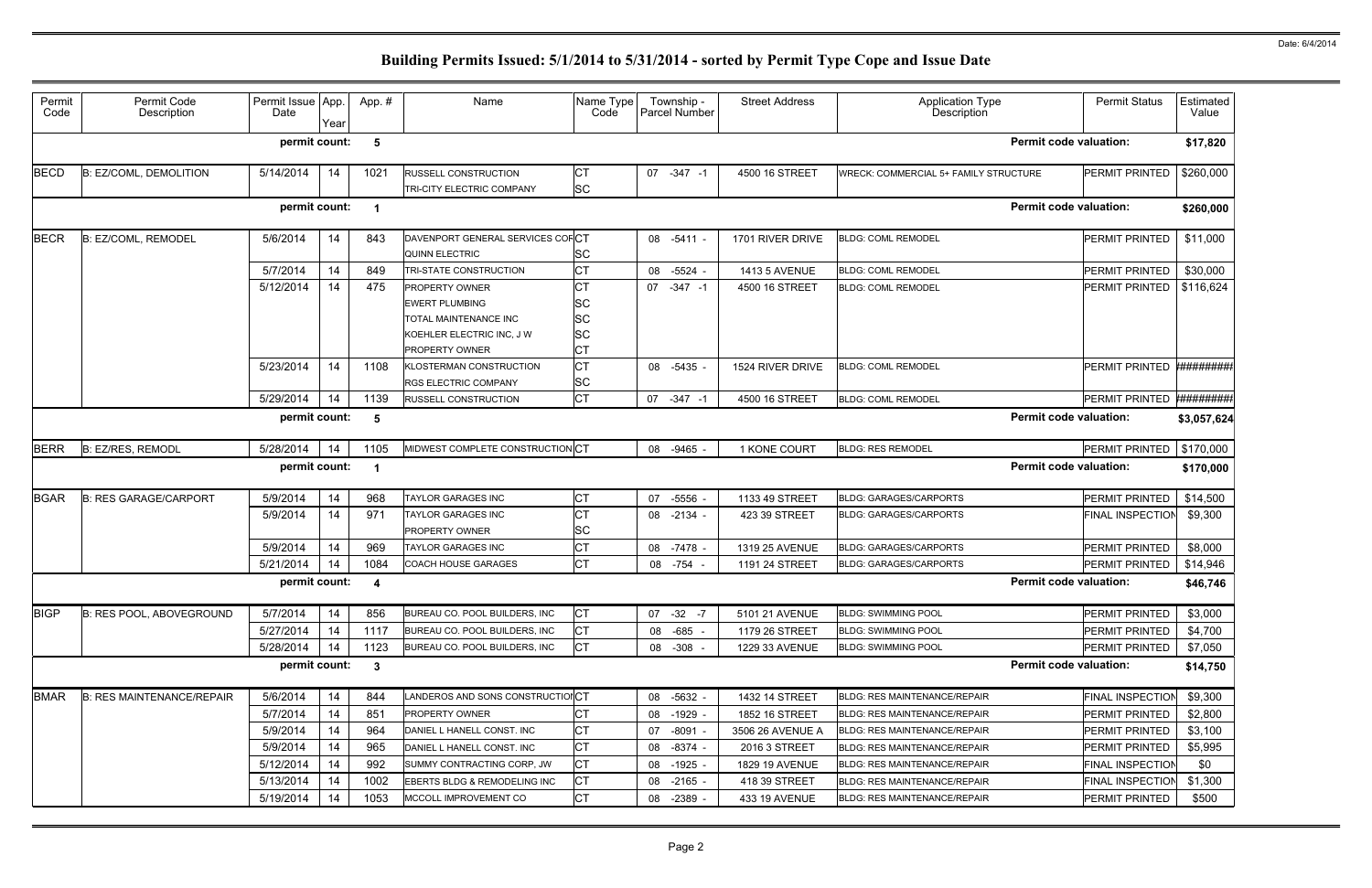| permit count:<br>5<br>5/14/2014<br><b>BECD</b><br>B: EZ/COML, DEMOLITION<br>14<br>1021<br><b>RUSSELL CONSTRUCTION</b><br>СT<br>4500 16 STREET<br>07<br>$-347 - 1$<br>SC<br>TRI-CITY ELECTRIC COMPANY<br>permit count:<br>DAVENPORT GENERAL SERVICES COFCT<br><b>BECR</b><br>5/6/2014<br><b>BLDG: COML REMODEL</b><br>B: EZ/COML, REMODEL<br>14<br>843<br>08 -5411 -<br>1701 RIVER DRIVE<br>QUINN ELECTRIC<br>SC<br><b>CT</b><br>5/7/2014<br>14<br>849<br>TRI-STATE CONSTRUCTION<br>$-5524 -$<br>1413 5 AVENUE<br><b>BLDG: COML REMODEL</b><br>08<br>СT<br>5/12/2014<br><b>PROPERTY OWNER</b><br>$-347 - 1$<br>4500 16 STREET<br><b>BLDG: COML REMODEL</b><br>14<br>475<br>07<br>SC<br><b>EWERT PLUMBING</b> | <b>Permit code valuation:</b><br>WRECK: COMMERCIAL 5+ FAMILY STRUCTURE<br><b>PERMIT PRINTED</b><br><b>Permit code valuation:</b><br><b>PERMIT PRINTED</b><br>PERMIT PRINTED<br>PERMIT PRINTED | \$17,820<br>\$260,000<br>\$260,000<br>\$11,000<br>\$30,000<br>\$116,624 |
|-------------------------------------------------------------------------------------------------------------------------------------------------------------------------------------------------------------------------------------------------------------------------------------------------------------------------------------------------------------------------------------------------------------------------------------------------------------------------------------------------------------------------------------------------------------------------------------------------------------------------------------------------------------------------------------------------------------|-----------------------------------------------------------------------------------------------------------------------------------------------------------------------------------------------|-------------------------------------------------------------------------|
|                                                                                                                                                                                                                                                                                                                                                                                                                                                                                                                                                                                                                                                                                                             |                                                                                                                                                                                               |                                                                         |
|                                                                                                                                                                                                                                                                                                                                                                                                                                                                                                                                                                                                                                                                                                             |                                                                                                                                                                                               |                                                                         |
|                                                                                                                                                                                                                                                                                                                                                                                                                                                                                                                                                                                                                                                                                                             |                                                                                                                                                                                               |                                                                         |
|                                                                                                                                                                                                                                                                                                                                                                                                                                                                                                                                                                                                                                                                                                             |                                                                                                                                                                                               |                                                                         |
|                                                                                                                                                                                                                                                                                                                                                                                                                                                                                                                                                                                                                                                                                                             |                                                                                                                                                                                               |                                                                         |
| SC<br>TOTAL MAINTENANCE INC<br>SC<br>KOEHLER ELECTRIC INC, J W<br>СT<br><b>PROPERTY OWNER</b>                                                                                                                                                                                                                                                                                                                                                                                                                                                                                                                                                                                                               |                                                                                                                                                                                               |                                                                         |
| <b>CT</b><br>5/23/2014<br>14<br>1108<br><b>KLOSTERMAN CONSTRUCTION</b><br>08 -5435 -<br>1524 RIVER DRIVE<br><b>BLDG: COML REMODEL</b><br>SC<br><b>RGS ELECTRIC COMPANY</b>                                                                                                                                                                                                                                                                                                                                                                                                                                                                                                                                  | PERMIT PRINTED                                                                                                                                                                                | <del>*########</del>                                                    |
| <b>CT</b><br>5/29/2014<br>1139<br>14<br>$-347 - 1$<br>4500 16 STREET<br><b>RUSSELL CONSTRUCTION</b><br>07<br><b>BLDG: COML REMODEL</b>                                                                                                                                                                                                                                                                                                                                                                                                                                                                                                                                                                      | <b>PERMIT PRINTED</b>                                                                                                                                                                         | <b>*########</b>                                                        |
| permit count:<br>5                                                                                                                                                                                                                                                                                                                                                                                                                                                                                                                                                                                                                                                                                          | <b>Permit code valuation:</b>                                                                                                                                                                 | \$3,057,624                                                             |
| <b>BERR</b><br>5/28/2014<br>MIDWEST COMPLETE CONSTRUCTION CT<br>B: EZ/RES, REMODL<br>14<br>1105<br>-9465 -<br>1 KONE COURT<br>08<br><b>BLDG: RES REMODEL</b>                                                                                                                                                                                                                                                                                                                                                                                                                                                                                                                                                | <b>PERMIT PRINTED</b>                                                                                                                                                                         | \$170,000                                                               |
| permit count:<br>-1                                                                                                                                                                                                                                                                                                                                                                                                                                                                                                                                                                                                                                                                                         | <b>Permit code valuation:</b>                                                                                                                                                                 | \$170,000                                                               |
| <b>CT</b><br><b>BGAR</b><br>5/9/2014<br><b>B: RES GARAGE/CARPORT</b><br>14<br>968<br>-5556<br>1133 49 STREET<br><b>BLDG: GARAGES/CARPORTS</b><br><b>TAYLOR GARAGES INC</b><br>07                                                                                                                                                                                                                                                                                                                                                                                                                                                                                                                            | <b>PERMIT PRINTED</b>                                                                                                                                                                         | \$14,500                                                                |
| 5/9/2014<br>СT<br>14<br>971<br><b>TAYLOR GARAGES INC</b><br>08 -2134 -<br>423 39 STREET<br><b>BLDG: GARAGES/CARPORTS</b><br>SC<br>PROPERTY OWNER                                                                                                                                                                                                                                                                                                                                                                                                                                                                                                                                                            | <b>FINAL INSPECTION</b>                                                                                                                                                                       | \$9,300                                                                 |
| СT<br>5/9/2014<br>14<br>969<br>1319 25 AVENUE<br><b>BLDG: GARAGES/CARPORTS</b><br><b>TAYLOR GARAGES INC</b><br>08<br>-7478 -                                                                                                                                                                                                                                                                                                                                                                                                                                                                                                                                                                                | <b>PERMIT PRINTED</b>                                                                                                                                                                         | \$8,000                                                                 |
| СT<br>5/21/2014<br>14<br>1084<br>08 -754<br>1191 24 STREET<br>COACH HOUSE GARAGES<br><b>BLDG: GARAGES/CARPORTS</b>                                                                                                                                                                                                                                                                                                                                                                                                                                                                                                                                                                                          | <b>PERMIT PRINTED</b>                                                                                                                                                                         | \$14,946                                                                |
| permit count:<br>$\overline{\mathbf{4}}$                                                                                                                                                                                                                                                                                                                                                                                                                                                                                                                                                                                                                                                                    | <b>Permit code valuation:</b>                                                                                                                                                                 | \$46,746                                                                |
| <b>BIGP</b><br>5/7/2014<br>856<br>СT<br>14<br><b>B: RES POOL, ABOVEGROUND</b><br>BUREAU CO. POOL BUILDERS, INC<br>07<br>$-32 - 7$<br>5101 21 AVENUE<br><b>BLDG: SWIMMING POOL</b>                                                                                                                                                                                                                                                                                                                                                                                                                                                                                                                           | <b>PERMIT PRINTED</b>                                                                                                                                                                         | \$3,000                                                                 |
| <b>CT</b><br>5/27/2014<br>14<br>1117<br>-685<br>1179 26 STREET<br>BUREAU CO. POOL BUILDERS, INC<br>08<br><b>BLDG: SWIMMING POOL</b>                                                                                                                                                                                                                                                                                                                                                                                                                                                                                                                                                                         | PERMIT PRINTED                                                                                                                                                                                | \$4,700                                                                 |
| <b>CT</b><br>5/28/2014<br>14<br>1123<br>08 -308 -<br>1229 33 AVENUE<br><b>BLDG: SWIMMING POOL</b><br>BUREAU CO. POOL BUILDERS, INC                                                                                                                                                                                                                                                                                                                                                                                                                                                                                                                                                                          | PERMIT PRINTED                                                                                                                                                                                | \$7,050                                                                 |
| permit count:<br>$\mathbf{3}$                                                                                                                                                                                                                                                                                                                                                                                                                                                                                                                                                                                                                                                                               | <b>Permit code valuation:</b>                                                                                                                                                                 | \$14,750                                                                |
| ⊪ст<br><b>BMAR</b><br>5/6/2014<br>14<br>844<br><b>B: RES MAINTENANCE/REPAIR</b><br>LANDEROS AND SONS CONSTRUCTIO<br>-5632 -<br>1432 14 STREET<br>08<br><b>BLDG: RES MAINTENANCE/REPAIR</b>                                                                                                                                                                                                                                                                                                                                                                                                                                                                                                                  | <b>FINAL INSPECTION</b>                                                                                                                                                                       | \$9,300                                                                 |
| СT<br>5/7/2014<br>851<br>14<br>-1929 -<br>1852 16 STREET<br>PROPERTY OWNER<br>08<br><b>BLDG: RES MAINTENANCE/REPAIR</b>                                                                                                                                                                                                                                                                                                                                                                                                                                                                                                                                                                                     | PERMIT PRINTED                                                                                                                                                                                | \$2,800                                                                 |
| <b>CT</b><br>5/9/2014<br>14<br>964<br>$-8091 -$<br>3506 26 AVENUE A<br>DANIEL L HANELL CONST. INC<br>07<br><b>BLDG: RES MAINTENANCE/REPAIR</b>                                                                                                                                                                                                                                                                                                                                                                                                                                                                                                                                                              | PERMIT PRINTED                                                                                                                                                                                | \$3,100                                                                 |
| СT<br>5/9/2014<br>14<br>965<br>$-8374 -$<br>DANIEL L HANELL CONST. INC<br>2016 3 STREET<br><b>BLDG: RES MAINTENANCE/REPAIR</b><br>08                                                                                                                                                                                                                                                                                                                                                                                                                                                                                                                                                                        | PERMIT PRINTED                                                                                                                                                                                | \$5,995                                                                 |
| <b>CT</b><br>5/12/2014<br>14<br>992<br>SUMMY CONTRACTING CORP, JW<br>$-1925$ -<br>1829 19 AVENUE<br>BLDG: RES MAINTENANCE/REPAIR<br>08                                                                                                                                                                                                                                                                                                                                                                                                                                                                                                                                                                      | <b>FINAL INSPECTION</b>                                                                                                                                                                       | \$0                                                                     |
| СT<br>5/13/2014<br>1002<br>14<br>EBERTS BLDG & REMODELING INC<br>-2165 -<br>418 39 STREET<br><b>BLDG: RES MAINTENANCE/REPAIR</b><br>08                                                                                                                                                                                                                                                                                                                                                                                                                                                                                                                                                                      | <b>FINAL INSPECTION</b>                                                                                                                                                                       | \$1,300                                                                 |
| СT<br>5/19/2014<br>14<br>1053<br>MCCOLL IMPROVEMENT CO<br>$-2389 -$<br>433 19 AVENUE<br>BLDG: RES MAINTENANCE/REPAIR<br>08                                                                                                                                                                                                                                                                                                                                                                                                                                                                                                                                                                                  | <b>PERMIT PRINTED</b>                                                                                                                                                                         | \$500                                                                   |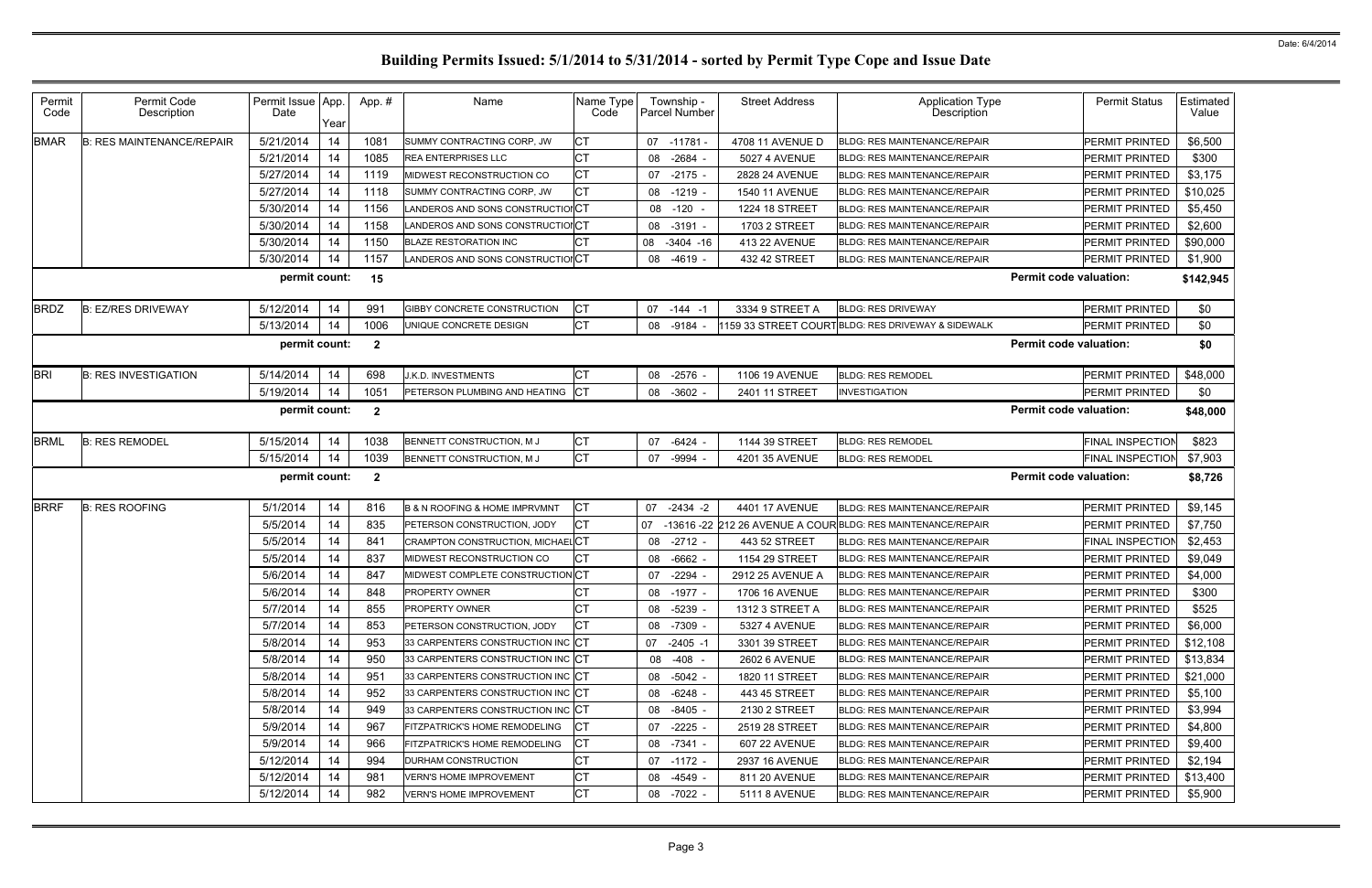| Permit<br>Code | Permit Code<br>Description       | Permit Issue App.<br>Date | Year | App.#            | Name                                 | Name Type<br>Code | Township -<br>Parcel Number |            | <b>Street Address</b>  | <b>Application Type</b><br>Description                      |                               | <b>Permit Status</b>    | Estimated<br>Value |
|----------------|----------------------------------|---------------------------|------|------------------|--------------------------------------|-------------------|-----------------------------|------------|------------------------|-------------------------------------------------------------|-------------------------------|-------------------------|--------------------|
| <b>BMAR</b>    | <b>B: RES MAINTENANCE/REPAIR</b> | 5/21/2014                 | 14   | 108 <sup>2</sup> | SUMMY CONTRACTING CORP, JW           | СT                | 07                          | -11781     | 4708 11 AVENUE D       | <b>BLDG: RES MAINTENANCE/REPAIR</b>                         |                               | <b>PERMIT PRINTED</b>   | \$6,500            |
|                |                                  | 5/21/2014                 | 14   | 1085             | <b>REA ENTERPRISES LLC</b>           | <b>CT</b>         | 08 -2684                    |            | 5027 4 AVENUE          | <b>BLDG: RES MAINTENANCE/REPAIR</b>                         |                               | <b>PERMIT PRINTED</b>   | \$300              |
|                |                                  | 5/27/2014                 | 14   | 1119             | MIDWEST RECONSTRUCTION CO            | CT                | 07                          | -2175 -    | 2828 24 AVENUE         | <b>BLDG: RES MAINTENANCE/REPAIR</b>                         |                               | PERMIT PRINTED          | \$3,175            |
|                |                                  | 5/27/2014                 | 14   | 1118             | SUMMY CONTRACTING CORP, JW           | <b>CT</b>         | $08 - 1219$                 |            | <b>1540 11 AVENUE</b>  | <b>BLDG: RES MAINTENANCE/REPAIR</b>                         |                               | PERMIT PRINTED          | \$10,025           |
|                |                                  | 5/30/2014                 | 14   | 1156             | LANDEROS AND SONS CONSTRUCTIONCT     |                   | 08 -120 -                   |            | 1224 18 STREET         | <b>BLDG: RES MAINTENANCE/REPAIR</b>                         |                               | <b>PERMIT PRINTED</b>   | \$5,450            |
|                |                                  | 5/30/2014                 | 14   | 1158             | LANDEROS AND SONS CONSTRUCTIONCT     |                   | 08 -3191 -                  |            | 1703 2 STREET          | <b>BLDG: RES MAINTENANCE/REPAIR</b>                         |                               | <b>PERMIT PRINTED</b>   | \$2,600            |
|                |                                  | 5/30/2014                 | 14   | 1150             | <b>BLAZE RESTORATION INC</b>         | CТ                | 08                          | -3404 -16  | 413 22 AVENUE          | <b>BLDG: RES MAINTENANCE/REPAIR</b>                         |                               | <b>PERMIT PRINTED</b>   | \$90,000           |
|                |                                  | 5/30/2014                 | 14   | 1157             | LANDEROS AND SONS CONSTRUCTIONCT     |                   | 08 -4619 -                  |            | 432 42 STREET          | <b>BLDG: RES MAINTENANCE/REPAIR</b>                         |                               | <b>PERMIT PRINTED</b>   | \$1,900            |
|                |                                  | permit count:             |      | 15               |                                      |                   |                             |            |                        |                                                             | <b>Permit code valuation:</b> |                         | \$142,945          |
| <b>BRDZ</b>    | <b>B: EZ/RES DRIVEWAY</b>        | 5/12/2014                 | 14   | 991              | GIBBY CONCRETE CONSTRUCTION          | СT                | 07                          | -144 -1    | 3334 9 STREET A        | <b>BLDG: RES DRIVEWAY</b>                                   |                               | PERMIT PRINTED          | \$0                |
|                |                                  | 5/13/2014                 | 14   | 1006             | UNIQUE CONCRETE DESIGN               | <b>CT</b>         | 08 -9184 -                  |            |                        | 1159 33 STREET COURTBLDG: RES DRIVEWAY & SIDEWALK           |                               | PERMIT PRINTED          | \$0                |
|                |                                  | permit count:             |      | $\mathbf{2}$     |                                      |                   |                             |            |                        |                                                             | <b>Permit code valuation:</b> |                         | \$0                |
| <b>BRI</b>     | <b>B: RES INVESTIGATION</b>      | 5/14/2014                 | 14   | 698              | J.K.D. INVESTMENTS                   | <b>CT</b>         | 08                          | -2576 -    | 1106 19 AVENUE         | <b>BLDG: RES REMODEL</b>                                    |                               | PERMIT PRINTED          | \$48,000           |
|                |                                  | 5/19/2014                 | 14   | 105'             | PETERSON PLUMBING AND HEATING        | <b>ICT</b>        | 08 -3602 -                  |            | 2401 11 STREET         | <b>INVESTIGATION</b>                                        |                               | PERMIT PRINTED          | \$0                |
|                |                                  | permit count:             |      | $\mathbf{2}$     |                                      |                   |                             |            |                        |                                                             | <b>Permit code valuation:</b> |                         | \$48,000           |
| <b>BRML</b>    | <b>B: RES REMODEL</b>            | 5/15/2014                 | 14   | 1038             | BENNETT CONSTRUCTION, M J            | <b>CT</b>         | 07                          | -6424 -    | 1144 39 STREET         | <b>BLDG: RES REMODEL</b>                                    |                               | <b>FINAL INSPECTION</b> | \$823              |
|                |                                  | 5/15/2014                 | 14   | 1039             | BENNETT CONSTRUCTION, M J            | <b>CT</b>         | 07 -9994 -                  |            | 4201 35 AVENUE         | <b>BLDG: RES REMODEL</b>                                    |                               | <b>FINAL INSPECTION</b> | \$7,903            |
|                |                                  | permit count:             |      | $\mathbf{2}$     |                                      |                   |                             |            |                        |                                                             | <b>Permit code valuation:</b> |                         | \$8,726            |
| <b>BRRF</b>    | <b>B: RES ROOFING</b>            | 5/1/2014                  | 14   | 816              | B & N ROOFING & HOME IMPRVMNT        | СT                | 07                          | $-2434 -2$ | 4401 17 AVENUE         | <b>BLDG: RES MAINTENANCE/REPAIR</b>                         |                               | <b>PERMIT PRINTED</b>   | \$9,145            |
|                |                                  | 5/5/2014                  | 14   | 835              | PETERSON CONSTRUCTION, JODY          | <b>CT</b>         | 07                          |            |                        | -13616 -22 212 26 AVENUE A COURBLDG: RES MAINTENANCE/REPAIR |                               | <b>PERMIT PRINTED</b>   | \$7,750            |
|                |                                  | 5/5/2014                  | 14   | 841              | CRAMPTON CONSTRUCTION, MICHAEL CT    |                   | 08 -2712 -                  |            | 443 52 STREET          | <b>BLDG: RES MAINTENANCE/REPAIR</b>                         |                               | <b>FINAL INSPECTION</b> | \$2,453            |
|                |                                  | 5/5/2014                  | 14   | 837              | MIDWEST RECONSTRUCTION CO            | <b>CT</b>         | 08 -6662 -                  |            | 1154 29 STREET         | <b>BLDG: RES MAINTENANCE/REPAIR</b>                         |                               | <b>PERMIT PRINTED</b>   | \$9,049            |
|                |                                  | 5/6/2014                  | 14   | 847              | MIDWEST COMPLETE CONSTRUCTION CT     |                   | $07 -2294$                  |            | 2912 25 AVENUE A       | <b>BLDG: RES MAINTENANCE/REPAIR</b>                         |                               | <b>PERMIT PRINTED</b>   | \$4,000            |
|                |                                  | 5/6/2014                  | 14   | 848              | PROPERTY OWNER                       | <b>CT</b>         | 08 -1977 -                  |            | <b>1706 16 AVENUE</b>  | BLDG: RES MAINTENANCE/REPAIR                                |                               | PERMIT PRINTED          | \$300              |
|                |                                  | 5/7/2014                  | 14   | 855              | <b>PROPERTY OWNER</b>                | СT                | 08 -5239 -                  |            | <b>1312 3 STREET A</b> | <b>BLDG: RES MAINTENANCE/REPAIR</b>                         |                               | <b>PERMIT PRINTED</b>   | \$525              |
|                |                                  | 5/7/2014                  | 14   | 853              | PETERSON CONSTRUCTION, JODY          | СT                | 08 -7309 -                  |            | 5327 4 AVENUE          | <b>BLDG: RES MAINTENANCE/REPAIR</b>                         |                               | <b>PERMIT PRINTED</b>   | \$6,000            |
|                |                                  | 5/8/2014                  | 14   | 953              | 33 CARPENTERS CONSTRUCTION INC CT    |                   | 07 -2405 -1                 |            | 3301 39 STREET         | <b>BLDG: RES MAINTENANCE/REPAIR</b>                         |                               | <b>PERMIT PRINTED</b>   | \$12,108           |
|                |                                  | 5/8/2014                  | 14   | 950              | 33 CARPENTERS CONSTRUCTION INC CT    |                   | 08 -408 -                   |            | 2602 6 AVENUE          | <b>BLDG: RES MAINTENANCE/REPAIR</b>                         |                               | <b>PERMIT PRINTED</b>   | \$13,834           |
|                |                                  | 5/8/2014                  | 14   | 951              | 33 CARPENTERS CONSTRUCTION INC CT    |                   | 08 -5042 -                  |            | 1820 11 STREET         | <b>BLDG: RES MAINTENANCE/REPAIR</b>                         |                               | <b>PERMIT PRINTED</b>   | \$21,000           |
|                |                                  | 5/8/2014                  | 14   | 952              | 33 CARPENTERS CONSTRUCTION INC CT    |                   | 08 - 6248 -                 |            | 443 45 STREET          | <b>BLDG: RES MAINTENANCE/REPAIR</b>                         |                               | <b>PERMIT PRINTED</b>   | \$5,100            |
|                |                                  | 5/8/2014                  | 14   | 949              | 33 CARPENTERS CONSTRUCTION INC CT    |                   | 08 -8405 -                  |            | 2130 2 STREET          | <b>BLDG: RES MAINTENANCE/REPAIR</b>                         |                               | <b>PERMIT PRINTED</b>   | \$3,994            |
|                |                                  | 5/9/2014                  | 14   | 967              | FITZPATRICK'S HOME REMODELING        | IСT               | 07 -2225 -                  |            | 2519 28 STREET         | <b>BLDG: RES MAINTENANCE/REPAIR</b>                         |                               | <b>PERMIT PRINTED</b>   | \$4,800            |
|                |                                  | 5/9/2014                  | 14   | 966              | <b>FITZPATRICK'S HOME REMODELING</b> | СT                | 08 -7341 -                  |            | 607 22 AVENUE          | <b>BLDG: RES MAINTENANCE/REPAIR</b>                         |                               | <b>PERMIT PRINTED</b>   | \$9,400            |
|                |                                  | 5/12/2014                 | 14   | 994              | <b>DURHAM CONSTRUCTION</b>           | СT                | 07 -1172 -                  |            | 2937 16 AVENUE         | <b>BLDG: RES MAINTENANCE/REPAIR</b>                         |                               | <b>PERMIT PRINTED</b>   | \$2,194            |
|                |                                  | 5/12/2014                 | 14   | 981              | VERN'S HOME IMPROVEMENT              | <b>CT</b>         | 08 -4549 -                  |            | 811 20 AVENUE          | <b>BLDG: RES MAINTENANCE/REPAIR</b>                         |                               | PERMIT PRINTED          | \$13,400           |
|                |                                  | 5/12/2014                 | 14   | 982              | VERN'S HOME IMPROVEMENT              | <b>CT</b>         | 08 -7022 -                  |            | 5111 8 AVENUE          | <b>BLDG: RES MAINTENANCE/REPAIR</b>                         |                               | PERMIT PRINTED          | \$5,900            |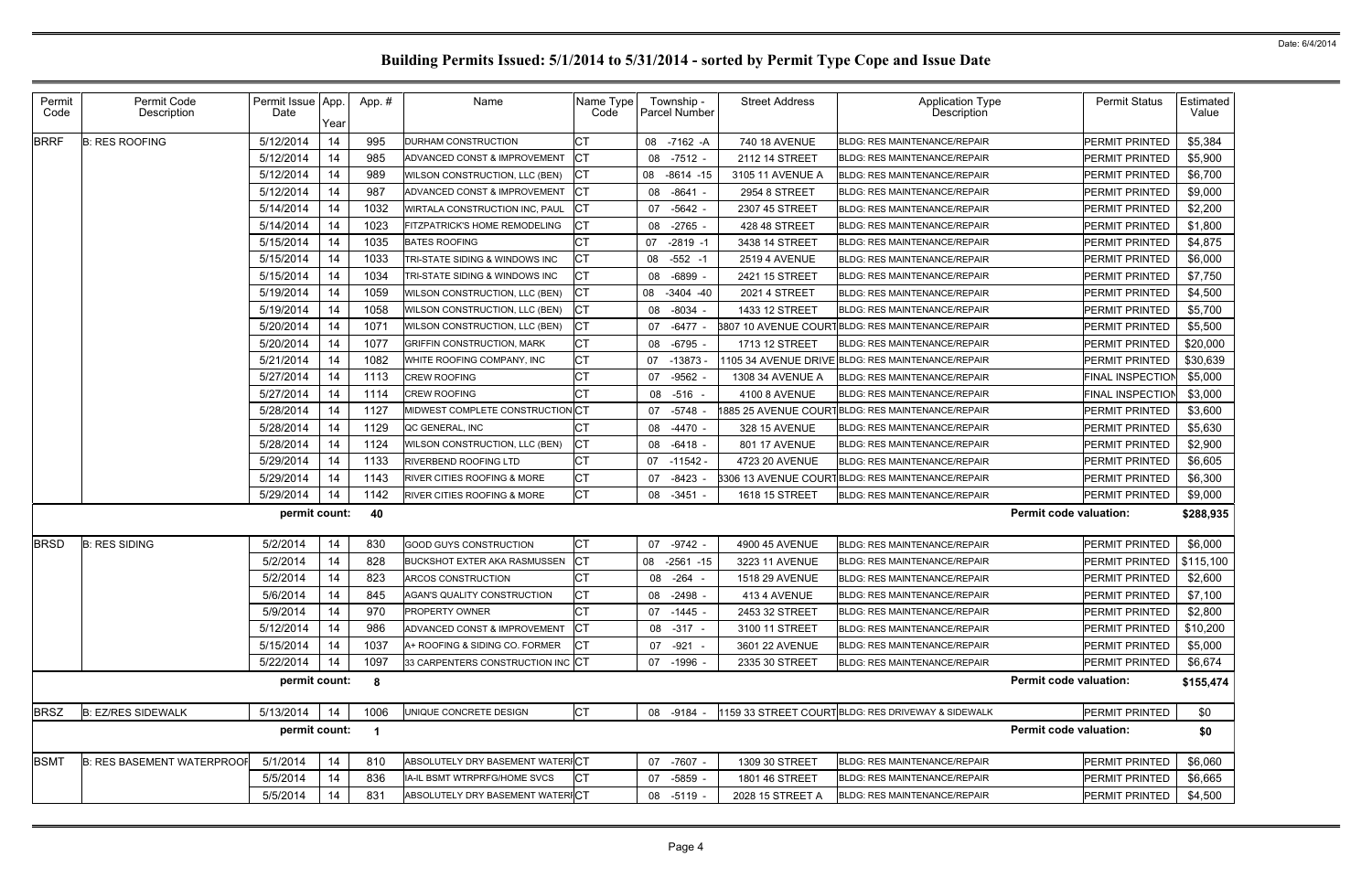| Permit<br>Code | Permit Code<br>Description        | Permit Issue App<br>Date | Year | App.# | Name                                    | Name Type<br>Code |    | Township -<br>Parcel Number | <b>Street Address</b> | <b>Application Type</b><br>Description                  |                               | <b>Permit Status</b>    | Estimated<br>Value |
|----------------|-----------------------------------|--------------------------|------|-------|-----------------------------------------|-------------------|----|-----------------------------|-----------------------|---------------------------------------------------------|-------------------------------|-------------------------|--------------------|
| <b>BRRF</b>    | <b>B: RES ROOFING</b>             | 5/12/2014                | 14   | 995   | <b>DURHAM CONSTRUCTION</b>              | <b>CT</b>         | 08 | -7162 -A                    | 740 18 AVENUE         | <b>BLDG: RES MAINTENANCE/REPAIR</b>                     |                               | <b>PERMIT PRINTED</b>   | \$5,384            |
|                |                                   | 5/12/2014                | 14   | 985   | <b>ADVANCED CONST &amp; IMPROVEMENT</b> | IСТ               | 08 | $-7512 -$                   | 2112 14 STREET        | <b>BLDG: RES MAINTENANCE/REPAIR</b>                     |                               | <b>PERMIT PRINTED</b>   | \$5,900            |
|                |                                   | 5/12/2014                | 14   | 989   | WILSON CONSTRUCTION, LLC (BEN)          | <b>ICT</b>        | 08 | $-8614 - 15$                | 3105 11 AVENUE A      | <b>BLDG: RES MAINTENANCE/REPAIR</b>                     |                               | <b>PERMIT PRINTED</b>   | \$6,700            |
|                |                                   | 5/12/2014                | 14   | 987   | ADVANCED CONST & IMPROVEMENT            | CT                | 08 | $-8641 -$                   | 2954 8 STREET         | <b>BLDG: RES MAINTENANCE/REPAIR</b>                     |                               | <b>PERMIT PRINTED</b>   | \$9,000            |
|                |                                   | 5/14/2014                | 14   | 1032  | WIRTALA CONSTRUCTION INC, PAUL          | IСТ               | 07 | $-5642$ -                   | 2307 45 STREET        | <b>BLDG: RES MAINTENANCE/REPAIR</b>                     |                               | <b>PERMIT PRINTED</b>   | \$2,200            |
|                |                                   | 5/14/2014                | 14   | 1023  | FITZPATRICK'S HOME REMODELING           | <b>CT</b>         | 08 | -2765 -                     | 428 48 STREET         | <b>BLDG: RES MAINTENANCE/REPAIR</b>                     |                               | <b>PERMIT PRINTED</b>   | \$1,800            |
|                |                                   | 5/15/2014                | 14   | 1035  | <b>BATES ROOFING</b>                    | СT                | 07 | $-2819 - 1$                 | 3438 14 STREET        | <b>BLDG: RES MAINTENANCE/REPAIR</b>                     |                               | <b>PERMIT PRINTED</b>   | \$4,875            |
|                |                                   | 5/15/2014                | 14   | 1033  | TRI-STATE SIDING & WINDOWS INC          | СT                | 08 | $-552 - 1$                  | <b>2519 4 AVENUE</b>  | <b>BLDG: RES MAINTENANCE/REPAIR</b>                     |                               | <b>PERMIT PRINTED</b>   | \$6,000            |
|                |                                   | 5/15/2014                | 14   | 1034  | TRI-STATE SIDING & WINDOWS INC          | IСТ               | 08 | -6899 -                     | 2421 15 STREET        | <b>BLDG: RES MAINTENANCE/REPAIR</b>                     |                               | <b>PERMIT PRINTED</b>   | \$7,750            |
|                |                                   | 5/19/2014                | 14   | 1059  | WILSON CONSTRUCTION, LLC (BEN)          | <b>ICT</b>        |    | 08 -3404 -40                | <b>2021 4 STREET</b>  | <b>BLDG: RES MAINTENANCE/REPAIR</b>                     |                               | <b>PERMIT PRINTED</b>   | \$4,500            |
|                |                                   | 5/19/2014                | 14   | 1058  | WILSON CONSTRUCTION, LLC (BEN)          | Iст               | 08 | $-8034 -$                   | 1433 12 STREET        | <b>BLDG: RES MAINTENANCE/REPAIR</b>                     |                               | <b>PERMIT PRINTED</b>   | \$5,700            |
|                |                                   | 5/20/2014                | 14   | 107   | WILSON CONSTRUCTION, LLC (BEN)          | <b>ICT</b>        | 07 | $-6477 -$                   |                       | <b>3807 10 AVENUE COURTBLDG: RES MAINTENANCE/REPAIR</b> |                               | <b>PERMIT PRINTED</b>   | \$5,500            |
|                |                                   | 5/20/2014                | 14   | 1077  | <b>GRIFFIN CONSTRUCTION, MARK</b>       | IСТ               | 08 | -6795 -                     | 1713 12 STREET        | <b>BLDG: RES MAINTENANCE/REPAIR</b>                     |                               | <b>PERMIT PRINTED</b>   | \$20,000           |
|                |                                   | 5/21/2014                | 14   | 1082  | WHITE ROOFING COMPANY, INC              | СT                | 07 | -13873                      |                       |                                                         |                               | <b>PERMIT PRINTED</b>   | \$30,639           |
|                |                                   | 5/27/2014                | 14   | 1113  | CREW ROOFING                            | СT                | 07 | $-9562$ .                   | 1308 34 AVENUE A      | <b>BLDG: RES MAINTENANCE/REPAIR</b>                     |                               | <b>FINAL INSPECTION</b> | \$5,000            |
|                |                                   | 5/27/2014                | 14   | 1114  | CREW ROOFING                            | <b>CT</b>         |    | 08 -516 -                   | 4100 8 AVENUE         | <b>BLDG: RES MAINTENANCE/REPAIR</b>                     |                               | <b>FINAL INSPECTION</b> | \$3,000            |
|                |                                   | 5/28/2014                | 14   | 1127  | MIDWEST COMPLETE CONSTRUCTION CT        |                   | 07 | -5748 -                     |                       | <b>1885 25 AVENUE COURTBLDG: RES MAINTENANCE/REPAIR</b> |                               | <b>PERMIT PRINTED</b>   | \$3,600            |
|                |                                   | 5/28/2014                | 14   | 1129  | QC GENERAL, INC                         | СT                |    | 08 -4470 -                  | 328 15 AVENUE         | <b>BLDG: RES MAINTENANCE/REPAIR</b>                     |                               | <b>PERMIT PRINTED</b>   | \$5,630            |
|                |                                   | 5/28/2014                | 14   | 1124  | WILSON CONSTRUCTION, LLC (BEN)          | <b>CT</b>         | 08 | -6418 -                     | 801 17 AVENUE         | <b>BLDG: RES MAINTENANCE/REPAIR</b>                     |                               | <b>PERMIT PRINTED</b>   | \$2,900            |
|                |                                   | 5/29/2014                | 14   | 1133  | <b>RIVERBEND ROOFING LTD</b>            | IСТ               |    | 07 -11542 -                 | 4723 20 AVENUE        | <b>BLDG: RES MAINTENANCE/REPAIR</b>                     |                               | <b>PERMIT PRINTED</b>   | \$6,605            |
|                |                                   | 5/29/2014                | 14   | 1143  | <b>RIVER CITIES ROOFING &amp; MORE</b>  | СT                | 07 | $-8423$                     |                       | 3306 13 AVENUE COURTBLDG: RES MAINTENANCE/REPAIR        |                               | <b>PERMIT PRINTED</b>   | \$6,300            |
|                |                                   | 5/29/2014                | 14   | 1142  | <b>RIVER CITIES ROOFING &amp; MORE</b>  | <b>CT</b>         |    | 08 -3451 -                  | 1618 15 STREET        | <b>BLDG: RES MAINTENANCE/REPAIR</b>                     |                               | <b>PERMIT PRINTED</b>   | \$9,000            |
|                |                                   | permit count:            |      | 40    |                                         |                   |    |                             |                       |                                                         | <b>Permit code valuation:</b> |                         | \$288,935          |
| <b>BRSD</b>    | <b>B: RES SIDING</b>              | 5/2/2014                 | 14   | 830   | GOOD GUYS CONSTRUCTION                  | <b>CT</b>         |    | 07 -9742 -                  | 4900 45 AVENUE        | <b>BLDG: RES MAINTENANCE/REPAIR</b>                     |                               | <b>PERMIT PRINTED</b>   | \$6,000            |
|                |                                   | 5/2/2014                 | 14   | 828   | <b>BUCKSHOT EXTER AKA RASMUSSEN</b>     | <b>ICT</b>        | 08 | $-2561 - 15$                | 3223 11 AVENUE        | <b>BLDG: RES MAINTENANCE/REPAIR</b>                     |                               | PERMIT PRINTED          | \$115,100          |
|                |                                   | 5/2/2014                 | 14   | 823   | ARCOS CONSTRUCTION                      | <b>CT</b>         | 08 | -264                        | 1518 29 AVENUE        | <b>BLDG: RES MAINTENANCE/REPAIR</b>                     |                               | <b>PERMIT PRINTED</b>   | \$2,600            |
|                |                                   | 5/6/2014                 | 14   | 845   | AGAN'S QUALITY CONSTRUCTION             | <b>CT</b>         | 08 | -2498 -                     | 413 4 AVENUE          | BLDG: RES MAINTENANCE/REPAIR                            |                               | <b>PERMIT PRINTED</b>   | \$7,100            |
|                |                                   | 5/9/2014                 | 14   | 970   | PROPERTY OWNER                          | <b>CT</b>         |    | 07 -1445 -                  | 2453 32 STREET        | <b>BLDG: RES MAINTENANCE/REPAIR</b>                     |                               | PERMIT PRINTED          | \$2,800            |
|                |                                   | 5/12/2014                | 14   | 986   | ADVANCED CONST & IMPROVEMENT            | CT                |    | 08 -317 -                   | 3100 11 STREET        | <b>BLDG: RES MAINTENANCE/REPAIR</b>                     |                               | PERMIT PRINTED          | \$10,200           |
|                |                                   | 5/15/2014                | 14   | 1037  | A+ ROOFING & SIDING CO. FORMER          | <b>ICT</b>        | 07 | $-921 -$                    | 3601 22 AVENUE        | BLDG: RES MAINTENANCE/REPAIR                            |                               | PERMIT PRINTED          | \$5,000            |
|                |                                   | 5/22/2014                | 14   | 1097  | 33 CARPENTERS CONSTRUCTION INC CT       |                   |    | 07 -1996 -                  | 2335 30 STREET        | <b>BLDG: RES MAINTENANCE/REPAIR</b>                     |                               | <b>PERMIT PRINTED</b>   | \$6,674            |
|                |                                   | permit count:            |      | -8    |                                         |                   |    |                             |                       |                                                         | <b>Permit code valuation:</b> |                         | \$155,474          |
| <b>BRSZ</b>    | <b>B: EZ/RES SIDEWALK</b>         | 5/13/2014                | 14   | 1006  | UNIQUE CONCRETE DESIGN                  | <b>CT</b>         |    | 08 -9184 -                  |                       | 1159 33 STREET COURT BLDG: RES DRIVEWAY & SIDEWALK      |                               | <b>PERMIT PRINTED</b>   | \$0                |
|                |                                   | permit count:            |      | -1    |                                         |                   |    |                             |                       |                                                         | <b>Permit code valuation:</b> |                         | \$0                |
| <b>BSMT</b>    | <b>B: RES BASEMENT WATERPROOF</b> | 5/1/2014                 | 14   | 810   | ABSOLUTELY DRY BASEMENT WATERICT        |                   |    | 07 -7607 -                  | 1309 30 STREET        | BLDG: RES MAINTENANCE/REPAIR                            |                               | <b>PERMIT PRINTED</b>   | \$6,060            |
|                |                                   | 5/5/2014                 | 14   | 836   | IA-IL BSMT WTRPRFG/HOME SVCS            | <b>CT</b>         |    | 07 -5859 -                  | 1801 46 STREET        | <b>BLDG: RES MAINTENANCE/REPAIR</b>                     |                               | PERMIT PRINTED          | \$6,665            |
|                |                                   | 5/5/2014                 | 14   | 831   | ABSOLUTELY DRY BASEMENT WATERICT        |                   |    | 08 -5119 -                  | 2028 15 STREET A      | <b>BLDG: RES MAINTENANCE/REPAIR</b>                     |                               | PERMIT PRINTED          | \$4,500            |
|                |                                   |                          |      |       |                                         |                   |    |                             |                       |                                                         |                               |                         |                    |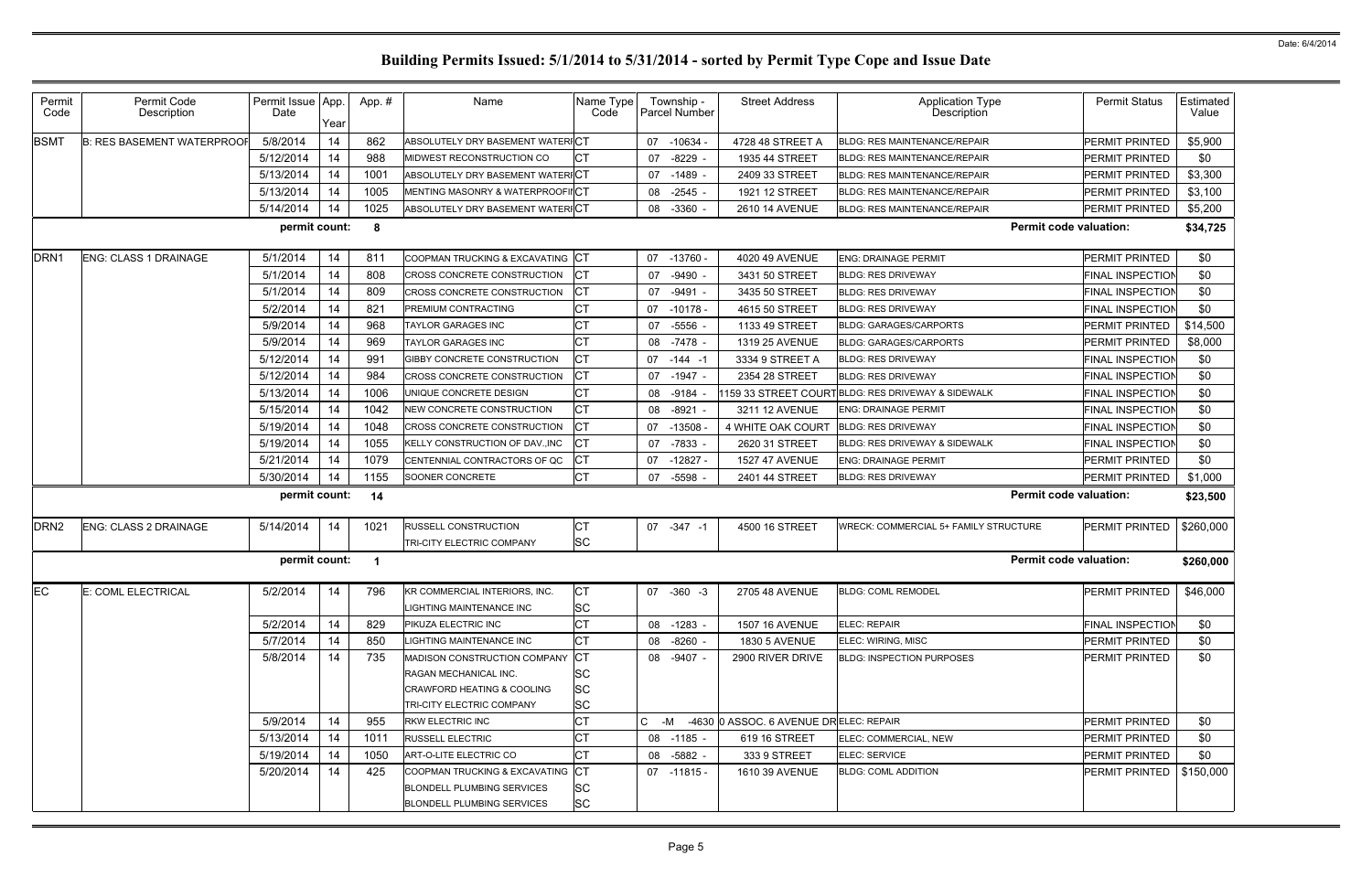| Permit<br>Code   | Permit Code<br>Description        | Permit Issue App.<br>Date | Year | App.# | Name                                                      | Name Type<br>Code | Township -<br><b>Parcel Number</b> | <b>Street Address</b>                  | <b>Application Type</b><br>Description            | <b>Permit Status</b>          | Estimated<br>Value |
|------------------|-----------------------------------|---------------------------|------|-------|-----------------------------------------------------------|-------------------|------------------------------------|----------------------------------------|---------------------------------------------------|-------------------------------|--------------------|
| <b>BSMT</b>      | <b>B: RES BASEMENT WATERPROOF</b> | 5/8/2014                  | 14   | 862   | ABSOLUTELY DRY BASEMENT WATERICT                          |                   | $-10634$<br>07                     | 4728 48 STREET A                       | <b>BLDG: RES MAINTENANCE/REPAIR</b>               | <b>PERMIT PRINTED</b>         | \$5,900            |
|                  |                                   | 5/12/2014                 | 14   | 988   | MIDWEST RECONSTRUCTION CO                                 | CТ                | $-8229$<br>07                      | 1935 44 STREET                         | <b>BLDG: RES MAINTENANCE/REPAIR</b>               | <b>PERMIT PRINTED</b>         | \$0                |
|                  |                                   | 5/13/2014                 | 14   | 1001  | ABSOLUTELY DRY BASEMENT WATERICT                          |                   | $-1489$<br>07                      | 2409 33 STREET                         | <b>BLDG: RES MAINTENANCE/REPAIR</b>               | <b>PERMIT PRINTED</b>         | \$3,300            |
|                  |                                   | 5/13/2014                 | 14   | 1005  | MENTING MASONRY & WATERPROOFIICT                          |                   | -2545 -<br>08                      | 1921 12 STREET                         | <b>BLDG: RES MAINTENANCE/REPAIR</b>               | <b>PERMIT PRINTED</b>         | \$3,100            |
|                  |                                   | 5/14/2014                 | 14   | 1025  | ABSOLUTELY DRY BASEMENT WATERICT                          |                   | $-3360$ -<br>08                    | <b>2610 14 AVENUE</b>                  | BLDG: RES MAINTENANCE/REPAIR                      | <b>PERMIT PRINTED</b>         | \$5,200            |
|                  |                                   | permit count:             |      | 8     |                                                           |                   |                                    |                                        |                                                   | <b>Permit code valuation:</b> | \$34,725           |
| DRN <sub>1</sub> | <b>ENG: CLASS 1 DRAINAGE</b>      | 5/1/2014                  | 14   | 811   | COOPMAN TRUCKING & EXCAVATING                             | <b>ICT</b>        | $-13760$<br>07                     | 4020 49 AVENUE                         | <b>ENG: DRAINAGE PERMIT</b>                       | <b>PERMIT PRINTED</b>         | \$0                |
|                  |                                   | 5/1/2014                  | 14   | 808   | CROSS CONCRETE CONSTRUCTION                               | СT                | $-9490$ -<br>07                    | 3431 50 STREET                         | <b>BLDG: RES DRIVEWAY</b>                         | <b>FINAL INSPECTION</b>       | \$0                |
|                  |                                   | 5/1/2014                  | 14   | 809   | CROSS CONCRETE CONSTRUCTION                               | СT                | 07<br>-9491 -                      | 3435 50 STREET                         | <b>BLDG: RES DRIVEWAY</b>                         | <b>FINAL INSPECTION</b>       | \$0                |
|                  |                                   | 5/2/2014                  | 14   | 821   | <b>PREMIUM CONTRACTING</b>                                | CТ                | 07<br>$-10178$                     | 4615 50 STREET                         | <b>BLDG: RES DRIVEWAY</b>                         | <b>FINAL INSPECTION</b>       | \$0                |
|                  |                                   | 5/9/2014                  | 14   | 968   | <b>TAYLOR GARAGES INC</b>                                 | CТ                | -5556 -<br>07                      | 1133 49 STREET                         | <b>BLDG: GARAGES/CARPORTS</b>                     | <b>PERMIT PRINTED</b>         | \$14,500           |
|                  |                                   | 5/9/2014                  | 14   | 969   | <b>TAYLOR GARAGES INC</b>                                 | СT                | -7478<br>80                        | 1319 25 AVENUE                         | <b>BLDG: GARAGES/CARPORTS</b>                     | PERMIT PRINTED                | \$8,000            |
|                  |                                   | 5/12/2014                 | 14   | 991   | GIBBY CONCRETE CONSTRUCTION                               | СT                | $07 - 144 - 1$                     | 3334 9 STREET A                        | <b>BLDG: RES DRIVEWAY</b>                         | <b>FINAL INSPECTION</b>       | \$0                |
|                  |                                   | 5/12/2014                 | 14   | 984   | CROSS CONCRETE CONSTRUCTION                               | СT                | 07<br>-1947 -                      | 2354 28 STREET                         | <b>BLDG: RES DRIVEWAY</b>                         | <b>FINAL INSPECTION</b>       | \$0                |
|                  |                                   | 5/13/2014                 | 14   | 1006  | UNIQUE CONCRETE DESIGN                                    | СT                | 08 -9184                           |                                        | 159 33 STREET COURT BLDG: RES DRIVEWAY & SIDEWALK | <b>FINAL INSPECTION</b>       | \$0                |
|                  |                                   | 5/15/2014                 | 14   | 1042  | NEW CONCRETE CONSTRUCTION                                 | CТ                | $-8921$<br>08                      | 3211 12 AVENUE                         | <b>ENG: DRAINAGE PERMIT</b>                       | <b>FINAL INSPECTION</b>       | \$0                |
|                  |                                   | 5/19/2014                 | 14   | 1048  | CROSS CONCRETE CONSTRUCTION                               | CТ                | $-13508$<br>07                     | 4 WHITE OAK COURT                      | <b>BLDG: RES DRIVEWAY</b>                         | <b>FINAL INSPECTION</b>       | \$0                |
|                  |                                   | 5/19/2014                 | 14   | 1055  | KELLY CONSTRUCTION OF DAV., INC                           | CТ                | -7833 -<br>07                      | 2620 31 STREET                         | <b>BLDG: RES DRIVEWAY &amp; SIDEWALK</b>          | <b>FINAL INSPECTION</b>       | \$0                |
|                  |                                   | 5/21/2014                 | 14   | 1079  | CENTENNIAL CONTRACTORS OF QC                              | CТ                | $-12827$<br>07                     | <b>1527 47 AVENUE</b>                  | <b>ENG: DRAINAGE PERMIT</b>                       | <b>PERMIT PRINTED</b>         | \$0                |
|                  |                                   | 5/30/2014                 | 14   | 1155  | SOONER CONCRETE                                           | СT                | $-5598$<br>07                      | 2401 44 STREET                         | <b>BLDG: RES DRIVEWAY</b>                         | <b>PERMIT PRINTED</b>         | \$1,000            |
|                  |                                   | permit count:             |      | 14    |                                                           |                   |                                    |                                        |                                                   | <b>Permit code valuation:</b> | \$23,500           |
| DRN <sub>2</sub> | <b>ENG: CLASS 2 DRAINAGE</b>      | 5/14/2014                 | 14   | 1021  | <b>RUSSELL CONSTRUCTION</b>                               | CТ                | 07 -347 -1                         | 4500 16 STREET                         | WRECK: COMMERCIAL 5+ FAMILY STRUCTURE             | <b>PERMIT PRINTED</b>         | \$260,000          |
|                  |                                   | permit count:             |      |       | TRI-CITY ELECTRIC COMPANY                                 | <b>SC</b>         |                                    |                                        |                                                   | <b>Permit code valuation:</b> | \$260,000          |
|                  |                                   |                           |      |       |                                                           |                   |                                    |                                        |                                                   |                               |                    |
| $\mathsf{I}$     | E: COML ELECTRICAL                | 5/2/2014                  | 14   | 796   | KR COMMERCIAL INTERIORS, INC.<br>LIGHTING MAINTENANCE INC | Iст<br><b>SC</b>  | 07 -360 -3                         | 2705 48 AVENUE                         | <b>BLDG: COML REMODEL</b>                         | $PERMIT PRINTED$ \$46,000     |                    |
|                  |                                   | 5/2/2014                  | 14   | 829   | PIKUZA ELECTRIC INC                                       | СT                | 08 -1283 -                         | 1507 16 AVENUE                         | <b>ELEC: REPAIR</b>                               | <b>FINAL INSPECTION</b>       | \$0                |
|                  |                                   | 5/7/2014                  | 14   | 850   | <b>LIGHTING MAINTENANCE INC</b>                           | CТ                | 08 -8260 -                         | <b>1830 5 AVENUE</b>                   | ELEC: WIRING, MISC                                | <b>PERMIT PRINTED</b>         | \$0                |
|                  |                                   | 5/8/2014                  | 14   | 735   | MADISON CONSTRUCTION COMPANY                              | <b>ICT</b>        | 08 -9407 -                         | 2900 RIVER DRIVE                       | <b>BLDG: INSPECTION PURPOSES</b>                  | <b>PERMIT PRINTED</b>         | \$0                |
|                  |                                   |                           |      |       | RAGAN MECHANICAL INC.                                     | <b>SC</b>         |                                    |                                        |                                                   |                               |                    |
|                  |                                   |                           |      |       | <b>ICRAWFORD HEATING &amp; COOLING</b>                    | SC                |                                    |                                        |                                                   |                               |                    |
|                  |                                   |                           |      |       | TRI-CITY ELECTRIC COMPANY                                 | <b>SC</b>         |                                    |                                        |                                                   |                               |                    |
|                  |                                   | 5/9/2014                  | 14   | 955   | <b>RKW ELECTRIC INC</b>                                   | СT                | $C - M$                            | -4630 0 ASSOC. 6 AVENUE DRELEC: REPAIR |                                                   | <b>PERMIT PRINTED</b>         | \$0                |
|                  |                                   | 5/13/2014                 | 14   | 1011  | <b>RUSSELL ELECTRIC</b>                                   | CТ                | 08 -1185 -                         | 619 16 STREET                          | ELEC: COMMERCIAL, NEW                             | PERMIT PRINTED                | \$0                |
|                  |                                   | 5/19/2014                 | 14   | 1050  | ART-O-LITE ELECTRIC CO                                    | CТ                | 08 -5882 -                         | 333 9 STREET                           | <b>ELEC: SERVICE</b>                              | <b>PERMIT PRINTED</b>         | \$0                |
|                  |                                   | 5/20/2014                 | 14   | 425   | COOPMAN TRUCKING & EXCAVATING                             | IСT               | $07 - 11815 -$                     | 1610 39 AVENUE                         | <b>BLDG: COML ADDITION</b>                        | <b>PERMIT PRINTED</b>         | \$150,000          |
|                  |                                   |                           |      |       | BLONDELL PLUMBING SERVICES                                | <b>SC</b>         |                                    |                                        |                                                   |                               |                    |
|                  |                                   |                           |      |       | <b>BLONDELL PLUMBING SERVICES</b>                         | <b>SC</b>         |                                    |                                        |                                                   |                               |                    |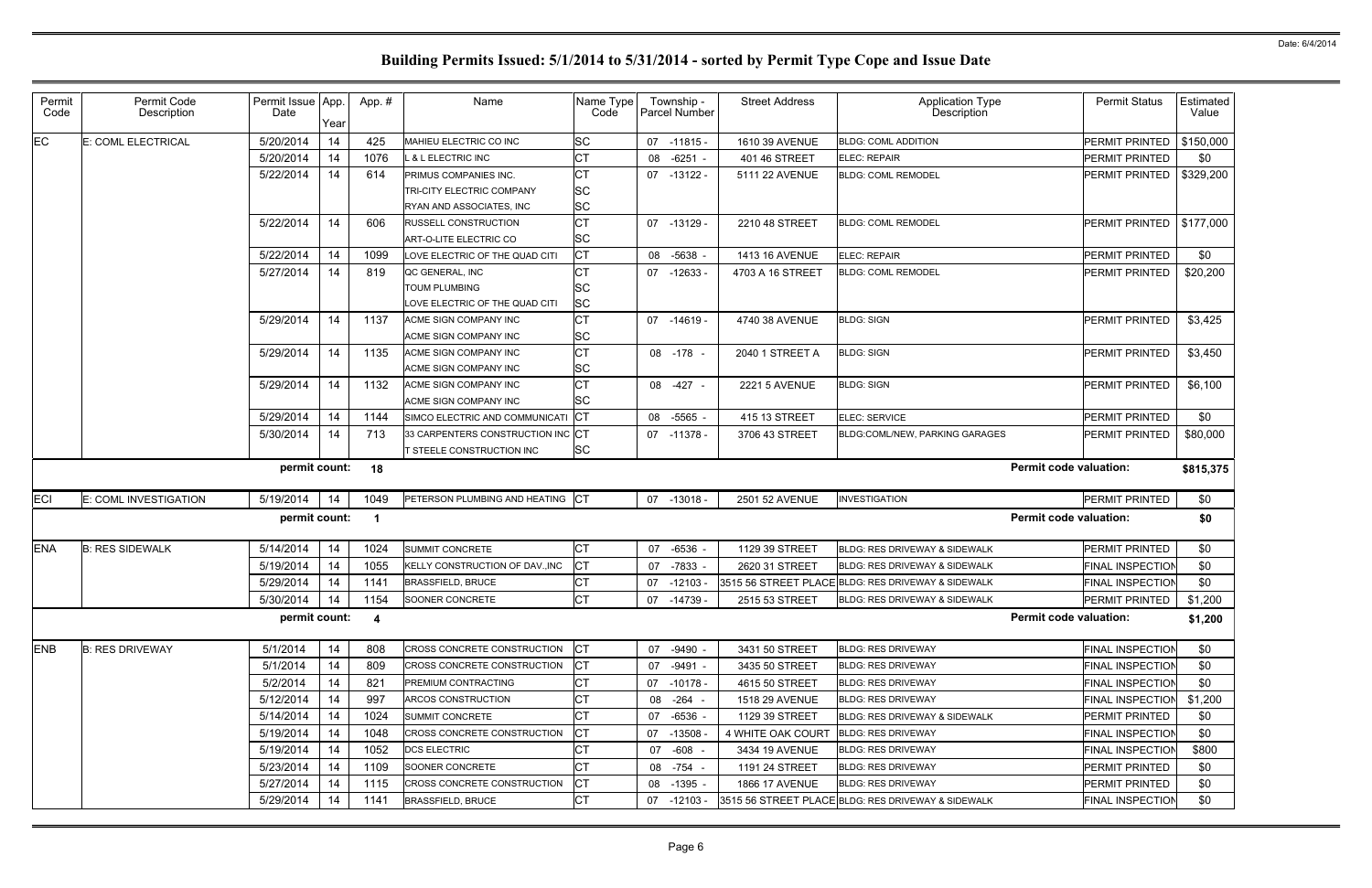| Permit<br>Code | Permit Code<br>Description | Permit Issue App.<br>Date | Year | App.# | Name                                           | Name Type<br>Code | Township -<br><b>Parcel Number</b> | <b>Street Address</b> | <b>Application Type</b><br>Description             | <b>Permit Status</b>          | Estimated<br>Value |
|----------------|----------------------------|---------------------------|------|-------|------------------------------------------------|-------------------|------------------------------------|-----------------------|----------------------------------------------------|-------------------------------|--------------------|
| EC             | E: COML ELECTRICAL         | 5/20/2014                 | 14   | 425   | MAHIEU ELECTRIC CO INC                         | SC                | 07 -11815 -                        | 1610 39 AVENUE        | <b>BLDG: COML ADDITION</b>                         | PERMIT PRINTED                | \$150,000          |
|                |                            | 5/20/2014                 | 14   | 1076  | <b>&amp; L ELECTRIC INC</b>                    | СT                | $-6251 -$<br>08                    | 401 46 STREET         | ELEC: REPAIR                                       | <b>PERMIT PRINTED</b>         | \$0                |
|                |                            | 5/22/2014                 | 14   | 614   | PRIMUS COMPANIES INC.                          | СT                | $07 - 13122$                       | 5111 22 AVENUE        | <b>BLDG: COML REMODEL</b>                          | PERMIT PRINTED                | \$329,200          |
|                |                            |                           |      |       | TRI-CITY ELECTRIC COMPANY                      | <b>SC</b>         |                                    |                       |                                                    |                               |                    |
|                |                            |                           |      |       | RYAN AND ASSOCIATES, INC                       | <b>SC</b>         |                                    |                       |                                                    |                               |                    |
|                |                            | 5/22/2014                 | 14   | 606   | <b>RUSSELL CONSTRUCTION</b>                    | СT                | $07 - 13129$                       | 2210 48 STREET        | <b>BLDG: COML REMODEL</b>                          | PERMIT PRINTED                | \$177,000          |
|                |                            |                           |      |       | ART-O-LITE ELECTRIC CO                         | SC                |                                    |                       |                                                    |                               |                    |
|                |                            | 5/22/2014                 | 14   | 1099  | LOVE ELECTRIC OF THE QUAD CITI                 | СT                | 08<br>$-5638 -$                    | 1413 16 AVENUE        | <b>ELEC: REPAIR</b>                                | PERMIT PRINTED                | \$0                |
|                |                            | 5/27/2014                 | 14   | 819   | QC GENERAL, INC                                | CТ                | 07 -12633                          | 4703 A 16 STREET      | <b>BLDG: COML REMODEL</b>                          | PERMIT PRINTED                | \$20,200           |
|                |                            |                           |      |       | <b>TOUM PLUMBING</b>                           | SC                |                                    |                       |                                                    |                               |                    |
|                |                            |                           |      |       | LOVE ELECTRIC OF THE QUAD CITI                 | <b>SC</b>         |                                    |                       |                                                    |                               |                    |
|                |                            | 5/29/2014                 | 14   | 1137  | ACME SIGN COMPANY INC                          | СT                | 07 -14619 -                        | 4740 38 AVENUE        | <b>BLDG: SIGN</b>                                  | <b>PERMIT PRINTED</b>         | \$3,425            |
|                |                            | 5/29/2014                 | 14   | 1135  | ACME SIGN COMPANY INC<br>ACME SIGN COMPANY INC | <b>SC</b><br>СT   | 08 -178 -                          | 2040 1 STREET A       | <b>BLDG: SIGN</b>                                  | <b>PERMIT PRINTED</b>         | \$3,450            |
|                |                            |                           |      |       | ACME SIGN COMPANY INC                          | SC                |                                    |                       |                                                    |                               |                    |
|                |                            | 5/29/2014                 | 14   | 1132  | ACME SIGN COMPANY INC                          | СT                | 08 -427 -                          | <b>2221 5 AVENUE</b>  | <b>BLDG: SIGN</b>                                  | <b>PERMIT PRINTED</b>         | \$6,100            |
|                |                            |                           |      |       | <b>ACME SIGN COMPANY INC</b>                   | <b>SC</b>         |                                    |                       |                                                    |                               |                    |
|                |                            | 5/29/2014                 | 14   | 1144  | SIMCO ELECTRIC AND COMMUNICATI                 | <b>ICT</b>        | $-5565$ -<br>08                    | 415 13 STREET         | <b>ELEC: SERVICE</b>                               | <b>PERMIT PRINTED</b>         | \$0                |
|                |                            | 5/30/2014                 | 14   | 713   | 33 CARPENTERS CONSTRUCTION INC CT              |                   | $07 - 11378$                       | 3706 43 STREET        | <b>BLDG:COML/NEW, PARKING GARAGES</b>              | PERMIT PRINTED                | \$80,000           |
|                |                            |                           |      |       | T STEELE CONSTRUCTION INC                      | <b>SC</b>         |                                    |                       |                                                    |                               |                    |
|                |                            | permit count:             |      | 18    |                                                |                   |                                    |                       |                                                    | <b>Permit code valuation:</b> | \$815,375          |
| ECI            | E: COML INVESTIGATION      | 5/19/2014                 | 14   | 1049  | PETERSON PLUMBING AND HEATING                  | <b>ICT</b>        | 07 -13018                          | 2501 52 AVENUE        | <b>INVESTIGATION</b>                               | <b>PERMIT PRINTED</b>         | \$0                |
|                |                            | permit count:             |      | -1    |                                                |                   |                                    |                       |                                                    | <b>Permit code valuation:</b> | \$0                |
| <b>ENA</b>     | <b>B: RES SIDEWALK</b>     | 5/14/2014                 | 14   | 1024  | <b>SUMMIT CONCRETE</b>                         | СT                | 07 -6536 -                         | 1129 39 STREET        | BLDG: RES DRIVEWAY & SIDEWALK                      | <b>PERMIT PRINTED</b>         | \$0                |
|                |                            | 5/19/2014                 | 14   | 1055  | KELLY CONSTRUCTION OF DAV., INC                | CТ                | -7833 -<br>07                      | 2620 31 STREET        | BLDG: RES DRIVEWAY & SIDEWALK                      | <b>FINAL INSPECTION</b>       | \$0                |
|                |                            | 5/29/2014                 | 14   | 1141  | <b>BRASSFIELD, BRUCE</b>                       | СT                | -12103 -<br>07                     |                       | 3515 56 STREET PLACE BLDG: RES DRIVEWAY & SIDEWALK | <b>FINAL INSPECTION</b>       | \$0                |
|                |                            | 5/30/2014                 | 14   | 1154  | SOONER CONCRETE                                | <b>ICT</b>        | 07 -14739 -                        | 2515 53 STREET        | BLDG: RES DRIVEWAY & SIDEWALK                      | PERMIT PRINTED                | \$1,200            |
|                |                            | permit count:             |      | 4     |                                                |                   |                                    |                       |                                                    | <b>Permit code valuation:</b> | \$1,200            |
| <b>ENB</b>     | <b>B: RES DRIVEWAY</b>     | 5/1/2014                  | 14   | 808   | CROSS CONCRETE CONSTRUCTION                    | СT                | 07 -9490 -                         | 3431 50 STREET        | <b>BLDG: RES DRIVEWAY</b>                          | <b>FINAL INSPECTION</b>       | \$0                |
|                |                            | 5/1/2014                  | 14   | 809   | <b>CROSS CONCRETE CONSTRUCTION</b>             | СT                | 07 -9491 -                         | 3435 50 STREET        | <b>BLDG: RES DRIVEWAY</b>                          | <b>FINAL INSPECTION</b>       | \$0                |
|                |                            | 5/2/2014                  | 14   | 821   | PREMIUM CONTRACTING                            | CТ                | 07 -10178 -                        | 4615 50 STREET        | <b>BLDG: RES DRIVEWAY</b>                          | <b>FINAL INSPECTION</b>       | \$0                |
|                |                            | 5/12/2014                 | 14   | 997   | ARCOS CONSTRUCTION                             | СT                | 08 -264 -                          | 1518 29 AVENUE        | <b>BLDG: RES DRIVEWAY</b>                          | <b>FINAL INSPECTION</b>       | \$1,200            |
|                |                            | 5/14/2014                 | 14   | 1024  | SUMMIT CONCRETE                                | CТ                | 07 -6536 -                         | 1129 39 STREET        | <b>BLDG: RES DRIVEWAY &amp; SIDEWALK</b>           | <b>PERMIT PRINTED</b>         | \$0                |
|                |                            | 5/19/2014                 | 14   | 1048  | <b>CROSS CONCRETE CONSTRUCTION</b>             | СT                | 07 -13508                          | 4 WHITE OAK COURT     | <b>BLDG: RES DRIVEWAY</b>                          | <b>FINAL INSPECTION</b>       | \$0                |
|                |                            | 5/19/2014                 | 14   | 1052  | <b>DCS ELECTRIC</b>                            | CТ                | 07 -608 -                          | 3434 19 AVENUE        | <b>BLDG: RES DRIVEWAY</b>                          | <b>FINAL INSPECTION</b>       | \$800              |
|                |                            | 5/23/2014                 | 14   | 1109  | SOONER CONCRETE                                | СT                | 08 -754 -                          | 1191 24 STREET        | <b>BLDG: RES DRIVEWAY</b>                          | PERMIT PRINTED                | \$0                |
|                |                            |                           |      |       |                                                |                   |                                    |                       |                                                    |                               |                    |
|                |                            | 5/27/2014                 | 14   | 1115  | <b>CROSS CONCRETE CONSTRUCTION</b>             | CТ                | 08 -1395 -                         | 1866 17 AVENUE        | <b>BLDG: RES DRIVEWAY</b>                          | <b>PERMIT PRINTED</b>         | \$0                |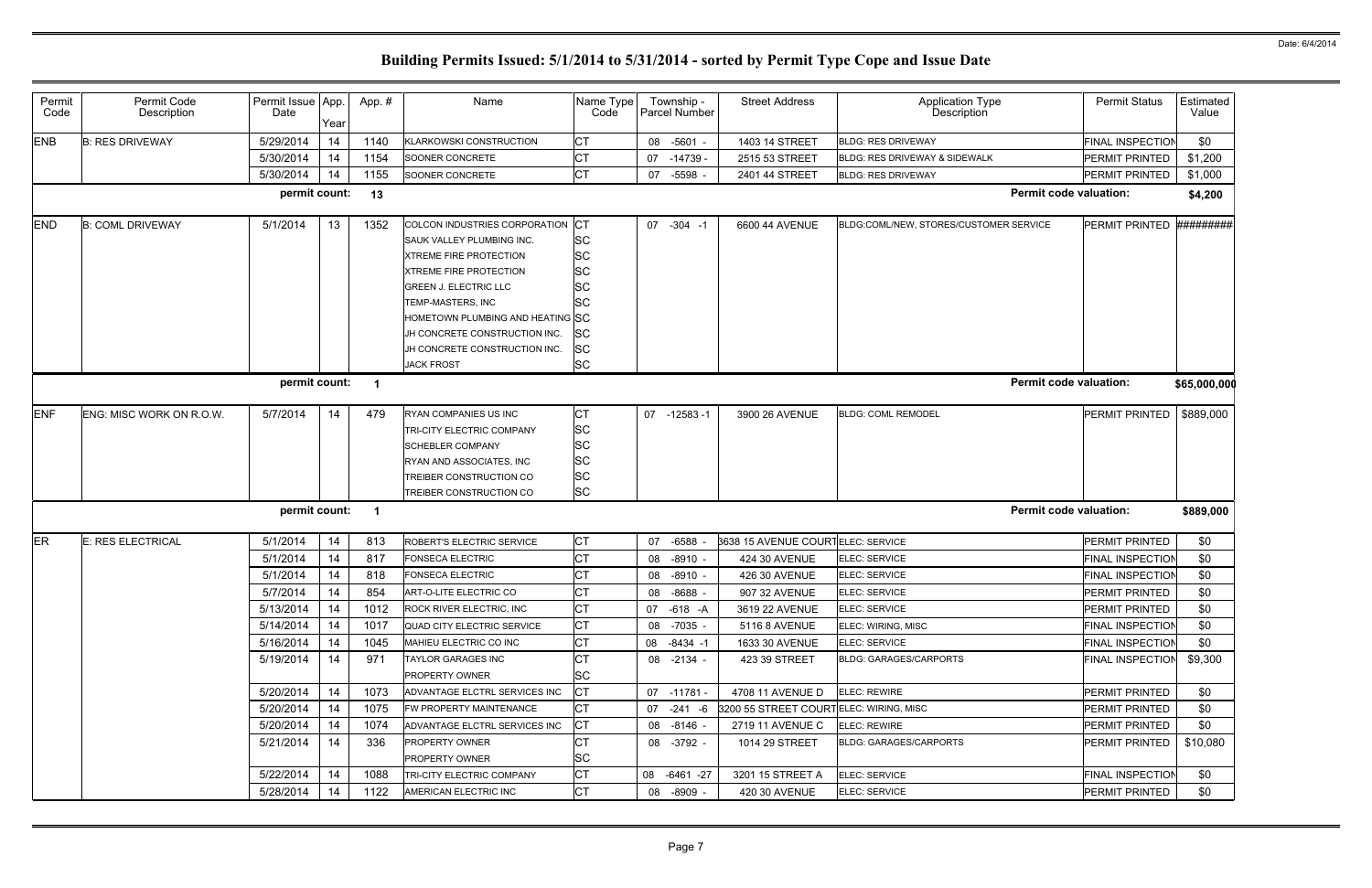| Permit<br>Code | Permit Code<br>Description | Permit Issue App<br>Date | Year | App.# | Name                                                                                                                                                                                                                                                                                    | Name Type<br>Code                                                                              | Township -<br>Parcel Number | <b>Street Address</b>                  | <b>Application Type</b><br>Description   | <b>Permit Status</b>          | Estimated<br>Value |
|----------------|----------------------------|--------------------------|------|-------|-----------------------------------------------------------------------------------------------------------------------------------------------------------------------------------------------------------------------------------------------------------------------------------------|------------------------------------------------------------------------------------------------|-----------------------------|----------------------------------------|------------------------------------------|-------------------------------|--------------------|
| <b>ENB</b>     | <b>B: RES DRIVEWAY</b>     | 5/29/2014                | 14   | 1140  | KLARKOWSKI CONSTRUCTION                                                                                                                                                                                                                                                                 | <b>CT</b>                                                                                      | $-5601 -$<br>08             | 1403 14 STREET                         | <b>BLDG: RES DRIVEWAY</b>                | <b>FINAL INSPECTION</b>       | \$0                |
|                |                            | 5/30/2014                | 14   | 1154  | SOONER CONCRETE                                                                                                                                                                                                                                                                         | <b>CT</b>                                                                                      | $-14739$<br>07              | 2515 53 STREET                         | <b>BLDG: RES DRIVEWAY &amp; SIDEWALK</b> | PERMIT PRINTED                | \$1,200            |
|                |                            | 5/30/2014                | 14   | 1155  | SOONER CONCRETE                                                                                                                                                                                                                                                                         | <b>CT</b>                                                                                      | -5598 -<br>07               | 2401 44 STREET                         | <b>BLDG: RES DRIVEWAY</b>                | PERMIT PRINTED                | \$1,000            |
|                |                            | permit count:            |      | 13    |                                                                                                                                                                                                                                                                                         |                                                                                                |                             |                                        |                                          | <b>Permit code valuation:</b> | \$4,200            |
| <b>END</b>     | <b>B: COML DRIVEWAY</b>    | 5/1/2014                 | 13   | 1352  | COLCON INDUSTRIES CORPORATION<br>SAUK VALLEY PLUMBING INC.<br><b>XTREME FIRE PROTECTION</b><br><b>XTREME FIRE PROTECTION</b><br><b>GREEN J. ELECTRIC LLC</b><br>TEMP-MASTERS, INC<br>HOMETOWN PLUMBING AND HEATING SC<br>JH CONCRETE CONSTRUCTION INC.<br>JH CONCRETE CONSTRUCTION INC. | IСТ<br><b>SC</b><br><b>SC</b><br><b>SC</b><br><b>SC</b><br><b>SC</b><br><b>SC</b><br><b>SC</b> | 07 -304 -1                  | 6600 44 AVENUE                         | BLDG:COML/NEW, STORES/CUSTOMER SERVICE   | PERMIT PRINTED #########      |                    |
|                |                            | permit count:            |      | -1    | <b>JACK FROST</b>                                                                                                                                                                                                                                                                       | <b>SC</b>                                                                                      |                             |                                        |                                          | <b>Permit code valuation:</b> | \$65,000,000       |
|                |                            |                          |      |       |                                                                                                                                                                                                                                                                                         |                                                                                                |                             |                                        |                                          |                               |                    |
| <b>ENF</b>     | ENG: MISC WORK ON R.O.W.   | 5/7/2014                 | 14   | 479   | <b>RYAN COMPANIES US INC</b><br>TRI-CITY ELECTRIC COMPANY<br><b>SCHEBLER COMPANY</b><br>RYAN AND ASSOCIATES, INC<br>TREIBER CONSTRUCTION CO<br>TREIBER CONSTRUCTION CO                                                                                                                  | <b>CT</b><br><b>SC</b><br><b>SC</b><br><b>SC</b><br><b>SC</b><br><b>SC</b>                     | 07<br>$-12583 - 1$          | 3900 26 AVENUE                         | <b>BLDG: COML REMODEL</b>                | PERMIT PRINTED                | \$889,000          |
|                |                            | permit count:            |      | -1    |                                                                                                                                                                                                                                                                                         |                                                                                                |                             |                                        |                                          | <b>Permit code valuation:</b> | \$889,000          |
| ER             | E: RES ELECTRICAL          | 5/1/2014                 | 14   | 813   | ROBERT'S ELECTRIC SERVICE                                                                                                                                                                                                                                                               | <b>CT</b>                                                                                      | 07<br>-6588                 | 3638 15 AVENUE COURTELEC: SERVICE      |                                          | PERMIT PRINTED                | \$0                |
|                |                            | 5/1/2014                 | 14   | 817   | <b>FONSECA ELECTRIC</b>                                                                                                                                                                                                                                                                 | <b>CT</b>                                                                                      | $-8910 -$<br>08             | 424 30 AVENUE                          | ELEC: SERVICE                            | <b>FINAL INSPECTION</b>       | \$0                |
|                |                            | 5/1/2014                 | 14   | 818   | <b>FONSECA ELECTRIC</b>                                                                                                                                                                                                                                                                 | <b>CT</b>                                                                                      | 08<br>-8910 -               | 426 30 AVENUE                          | ELEC: SERVICE                            | FINAL INSPECTION              | \$0                |
|                |                            | 5/7/2014                 | 14   | 854   | ART-O-LITE ELECTRIC CO                                                                                                                                                                                                                                                                  | C <sub>T</sub>                                                                                 | 08 -8688 -                  | 907 32 AVENUE                          | ELEC: SERVICE                            | PERMIT PRINTED                | \$0                |
|                |                            | 5/13/2014                | 14   | 1012  | ROCK RIVER ELECTRIC, INC                                                                                                                                                                                                                                                                | <b>CT</b>                                                                                      | 07 -618 -A                  | 3619 22 AVENUE                         | <b>ELEC: SERVICE</b>                     | PERMIT PRINTED                | \$0                |
|                |                            | 5/14/2014                | 14   | 1017  | QUAD CITY ELECTRIC SERVICE                                                                                                                                                                                                                                                              | <b>CT</b>                                                                                      | 08 -7035 -                  | 5116 8 AVENUE                          | ELEC: WIRING, MISC                       | <b>FINAL INSPECTION</b>       | \$0                |
|                |                            | 5/16/2014                | 14   | 1045  | MAHIEU ELECTRIC CO INC                                                                                                                                                                                                                                                                  | <b>CT</b>                                                                                      | 08 -8434 -1                 | 1633 30 AVENUE                         | <b>ELEC: SERVICE</b>                     | <b>FINAL INSPECTION</b>       | \$0                |
|                |                            | 5/19/2014                | 14   | 971   | <b>TAYLOR GARAGES INC</b><br><b>PROPERTY OWNER</b>                                                                                                                                                                                                                                      | <b>CT</b><br><b>SC</b>                                                                         | 08 -2134 -                  | 423 39 STREET                          | <b>BLDG: GARAGES/CARPORTS</b>            | <b>FINAL INSPECTION</b>       | \$9,300            |
|                |                            | 5/20/2014                | 14   | 1073  | ADVANTAGE ELCTRL SERVICES INC                                                                                                                                                                                                                                                           | <b>CT</b>                                                                                      | 07 -11781 -                 | 4708 11 AVENUE D                       | <b>ELEC: REWIRE</b>                      | PERMIT PRINTED                | \$0                |
|                |                            | 5/20/2014                | 14   | 1075  | FW PROPERTY MAINTENANCE                                                                                                                                                                                                                                                                 | СT                                                                                             | 07 -241 -6                  | 3200 55 STREET COURTELEC: WIRING, MISC |                                          | PERMIT PRINTED                | \$0                |
|                |                            | 5/20/2014                | 14   | 1074  | ADVANTAGE ELCTRL SERVICES INC                                                                                                                                                                                                                                                           | СT                                                                                             | 08 -8146 -                  | 2719 11 AVENUE C                       | <b>ELEC: REWIRE</b>                      | PERMIT PRINTED                | \$0                |
|                |                            | 5/21/2014                | 14   | 336   | <b>PROPERTY OWNER</b><br><b>PROPERTY OWNER</b>                                                                                                                                                                                                                                          | <b>CT</b><br><b>SC</b>                                                                         | 08 -3792 -                  | 1014 29 STREET                         | <b>BLDG: GARAGES/CARPORTS</b>            | PERMIT PRINTED                | \$10,080           |
|                |                            | 5/22/2014                | 14   | 1088  | TRI-CITY ELECTRIC COMPANY                                                                                                                                                                                                                                                               | <b>CT</b>                                                                                      | 08 -6461 -27                | 3201 15 STREET A                       | <b>ELEC: SERVICE</b>                     | FINAL INSPECTION              | \$0                |
|                |                            | 5/28/2014                | 14   | 1122  | AMERICAN ELECTRIC INC                                                                                                                                                                                                                                                                   | СT                                                                                             | 08 -8909 -                  | 420 30 AVENUE                          | <b>ELEC: SERVICE</b>                     | PERMIT PRINTED                | \$0                |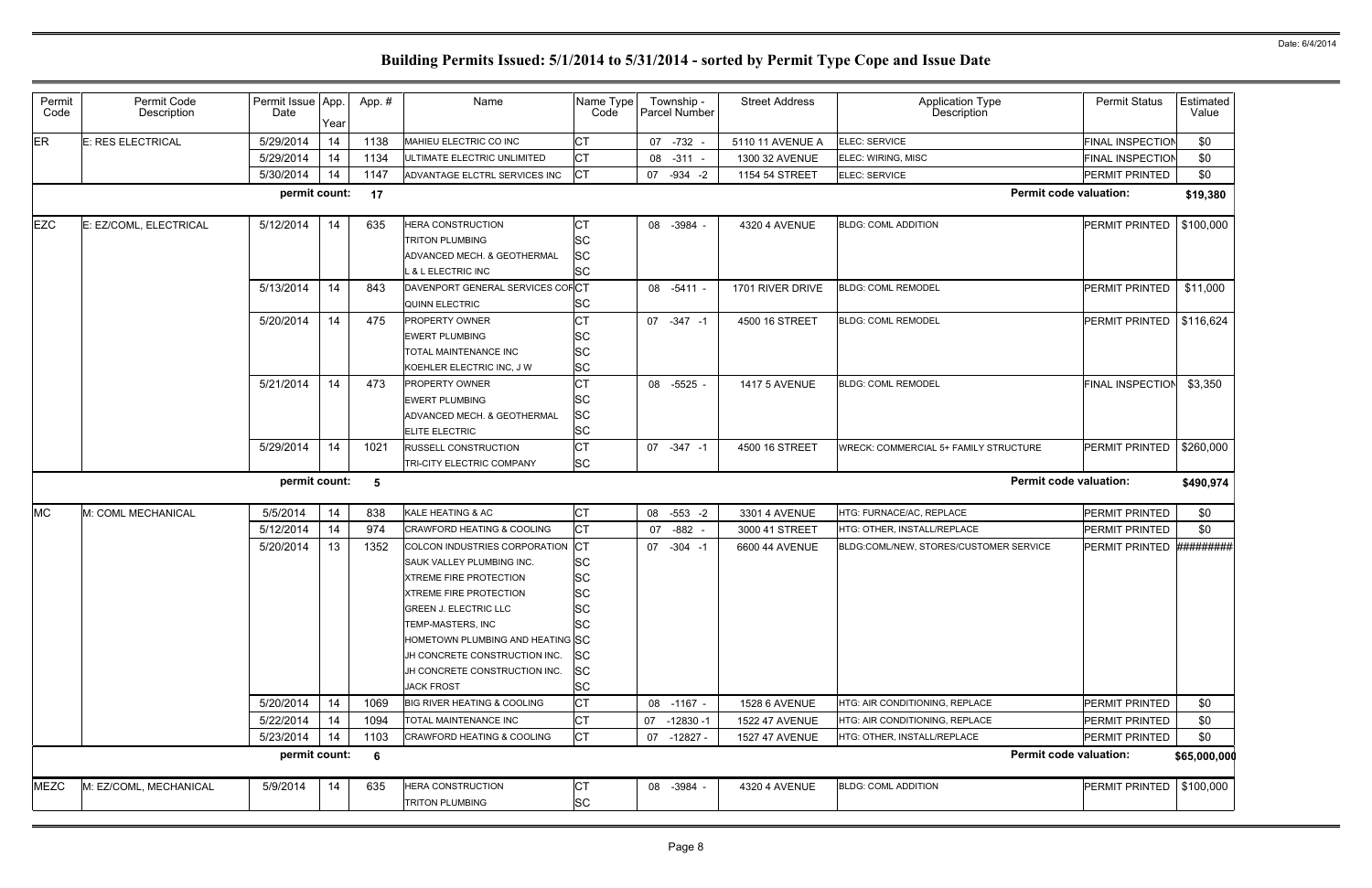| Permit<br>Code | Permit Code<br>Description | Permit Issue App.<br>Date | Year     | App.#        | Name                                                                                                                                                                                                                                                                                                                                 | Name Type<br>Code                                                                                                        | Township -<br>Parcel Number    | <b>Street Address</b>                  | Application Type<br><b>Description</b>                                   | <b>Permit Status</b>                       | Estimated<br>Value |
|----------------|----------------------------|---------------------------|----------|--------------|--------------------------------------------------------------------------------------------------------------------------------------------------------------------------------------------------------------------------------------------------------------------------------------------------------------------------------------|--------------------------------------------------------------------------------------------------------------------------|--------------------------------|----------------------------------------|--------------------------------------------------------------------------|--------------------------------------------|--------------------|
| ER             | <b>E: RES ELECTRICAL</b>   | 5/29/2014                 | 14       | 1138         | MAHIEU ELECTRIC CO INC                                                                                                                                                                                                                                                                                                               | <b>CT</b>                                                                                                                | 07 -732 -                      | 5110 11 AVENUE A                       | ELEC: SERVICE                                                            | <b>FINAL INSPECTION</b>                    | \$0                |
|                |                            | 5/29/2014                 | 14       | 1134         | ULTIMATE ELECTRIC UNLIMITED                                                                                                                                                                                                                                                                                                          | СT                                                                                                                       | 08 -311 -                      | 1300 32 AVENUE                         | ELEC: WIRING, MISC                                                       | <b>FINAL INSPECTION</b>                    | \$0                |
|                |                            | 5/30/2014                 | 14       | 1147         | ADVANTAGE ELCTRL SERVICES INC                                                                                                                                                                                                                                                                                                        | <b>CT</b>                                                                                                                | $-934 -2$<br>07                | 1154 54 STREET                         | ELEC: SERVICE                                                            | PERMIT PRINTED                             | \$0                |
|                |                            | permit count:             |          | 17           |                                                                                                                                                                                                                                                                                                                                      |                                                                                                                          |                                |                                        | <b>Permit code valuation:</b>                                            |                                            | \$19,380           |
| <b>EZC</b>     | E: EZ/COML, ELECTRICAL     | 5/12/2014                 | 14       | 635          | <b>HERA CONSTRUCTION</b><br><b>TRITON PLUMBING</b><br>ADVANCED MECH. & GEOTHERMAL<br>L & L ELECTRIC INC                                                                                                                                                                                                                              | СT<br>lsc<br><b>SC</b><br><b>SC</b>                                                                                      | 08 -3984 -                     | 4320 4 AVENUE                          | <b>BLDG: COML ADDITION</b>                                               | PERMIT PRINTED                             | \$100,000          |
|                |                            | 5/13/2014                 | 14       | 843          | DAVENPORT GENERAL SERVICES COFCT<br><b>QUINN ELECTRIC</b>                                                                                                                                                                                                                                                                            | lSC                                                                                                                      | 08 -5411 -                     | 1701 RIVER DRIVE                       | <b>BLDG: COML REMODEL</b>                                                | <b>PERMIT PRINTED</b>                      | \$11,000           |
|                |                            | 5/20/2014                 | 14       | 475          | <b>PROPERTY OWNER</b><br><b>EWERT PLUMBING</b><br>TOTAL MAINTENANCE INC<br>KOEHLER ELECTRIC INC, J W                                                                                                                                                                                                                                 | СT<br>SC<br><b>SC</b><br><b>SC</b>                                                                                       | 07<br>$-347 - 1$               | 4500 16 STREET                         | <b>BLDG: COML REMODEL</b>                                                | <b>PERMIT PRINTED</b>                      | \$116,624          |
|                |                            | 5/21/2014                 | 14       | 473          | <b>PROPERTY OWNER</b><br><b>EWERT PLUMBING</b><br>ADVANCED MECH. & GEOTHERMAL<br><b>ELITE ELECTRIC</b>                                                                                                                                                                                                                               | <b>CT</b><br>SC<br>SC<br><b>SC</b>                                                                                       | 08 -5525 -                     | <b>1417 5 AVENUE</b>                   | <b>BLDG: COML REMODEL</b>                                                | <b>FINAL INSPECTION</b>                    | \$3,350            |
|                |                            | 5/29/2014                 | 14       | 1021         | <b>RUSSELL CONSTRUCTION</b><br>TRI-CITY ELECTRIC COMPANY                                                                                                                                                                                                                                                                             | <b>CT</b><br><b>SC</b>                                                                                                   | 07 -347 -1                     | 4500 16 STREET                         | WRECK: COMMERCIAL 5+ FAMILY STRUCTURE                                    | PERMIT PRINTED                             | \$260,000          |
|                |                            | permit count:             |          | 5            |                                                                                                                                                                                                                                                                                                                                      |                                                                                                                          |                                |                                        | <b>Permit code valuation:</b>                                            |                                            | \$490,974          |
| <b>MC</b>      | M: COML MECHANICAL         | 5/5/2014                  | 14       | 838          | KALE HEATING & AC                                                                                                                                                                                                                                                                                                                    | <b>CT</b>                                                                                                                | 08<br>$-553 - 2$               | 3301 4 AVENUE                          | HTG: FURNACE/AC, REPLACE                                                 | PERMIT PRINTED                             | \$0                |
|                |                            | 5/12/2014                 | 14       | 974          | <b>CRAWFORD HEATING &amp; COOLING</b>                                                                                                                                                                                                                                                                                                | <b>CT</b>                                                                                                                | 07 -882 -                      | 3000 41 STREET                         | HTG: OTHER, INSTALL/REPLACE                                              | PERMIT PRINTED                             | \$0                |
|                |                            | 5/20/2014<br>5/20/2014    | 13<br>14 | 1352<br>1069 | COLCON INDUSTRIES CORPORATION<br>SAUK VALLEY PLUMBING INC.<br><b>XTREME FIRE PROTECTION</b><br>XTREME FIRE PROTECTION<br><b>GREEN J. ELECTRIC LLC</b><br>TEMP-MASTERS, INC<br>HOMETOWN PLUMBING AND HEATING SC<br>JH CONCRETE CONSTRUCTION INC.<br>JH CONCRETE CONSTRUCTION INC.<br><b>JACK FROST</b><br>BIG RIVER HEATING & COOLING | IСТ<br><b>SC</b><br><b>SC</b><br><b>SC</b><br><b>SC</b><br><b>SC</b><br><b>SC</b><br><b>SC</b><br><b>SC</b><br><b>CT</b> | $-304 - 1$<br>07<br>08 -1167 - | 6600 44 AVENUE<br><b>1528 6 AVENUE</b> | BLDG:COML/NEW, STORES/CUSTOMER SERVICE<br>HTG: AIR CONDITIONING, REPLACE | PERMIT PRINTED #########<br>PERMIT PRINTED | \$0                |
|                |                            | 5/22/2014                 | 14       | 1094         | <b>TOTAL MAINTENANCE INC</b>                                                                                                                                                                                                                                                                                                         | <b>CT</b>                                                                                                                | 07<br>$-12830 - 1$             | 1522 47 AVENUE                         | HTG: AIR CONDITIONING, REPLACE                                           | PERMIT PRINTED                             | \$0                |
|                |                            | 5/23/2014                 | 14       | 1103         | CRAWFORD HEATING & COOLING                                                                                                                                                                                                                                                                                                           | <b>CT</b>                                                                                                                | 07 -12827 -                    | <b>1527 47 AVENUE</b>                  | HTG: OTHER, INSTALL/REPLACE                                              | PERMIT PRINTED                             | \$0                |
|                |                            | permit count:             |          | 6            |                                                                                                                                                                                                                                                                                                                                      |                                                                                                                          |                                |                                        | <b>Permit code valuation:</b>                                            |                                            | \$65,000,000       |
| <b>MEZC</b>    | M: EZ/COML, MECHANICAL     | 5/9/2014                  | 14       | 635          | <b>HERA CONSTRUCTION</b><br><b>TRITON PLUMBING</b>                                                                                                                                                                                                                                                                                   | СT<br><b>SC</b>                                                                                                          | 08 - 3984 -                    | 4320 4 AVENUE                          | <b>BLDG: COML ADDITION</b>                                               | PERMIT PRINTED                             | \$100,000          |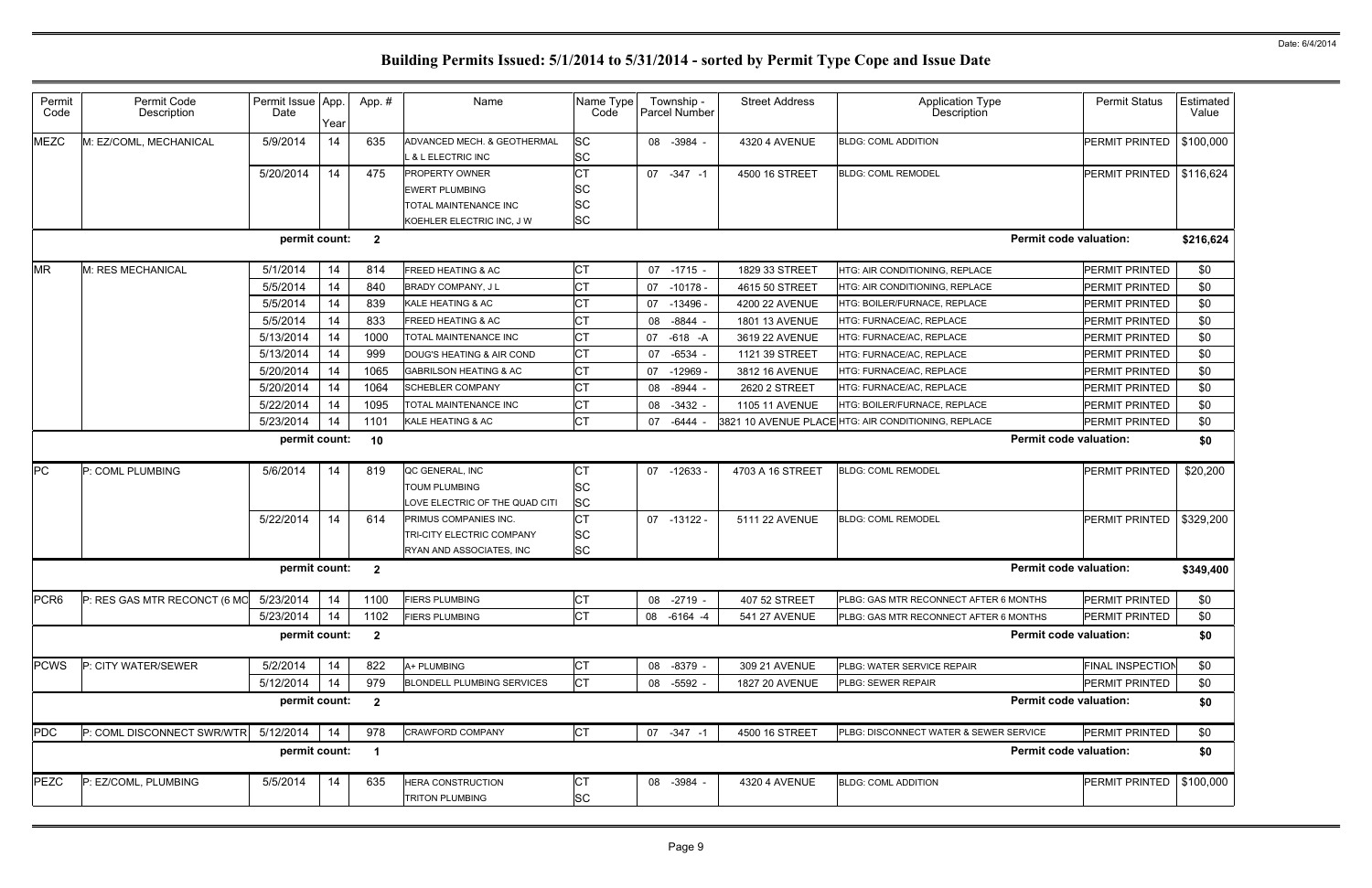| SC<br><b>MEZC</b><br>M: EZ/COML, MECHANICAL<br>5/9/2014<br>14<br>08 - 3984 -<br>PERMIT PRINTED<br>635<br>ADVANCED MECH. & GEOTHERMAL<br>4320 4 AVENUE<br><b>BLDG: COML ADDITION</b><br>L & L ELECTRIC INC<br><b>SC</b><br>СT<br>5/20/2014<br>14<br>PERMIT PRINTED<br>475<br><b>PROPERTY OWNER</b><br>07 -347 -1<br>4500 16 STREET<br><b>BLDG: COML REMODEL</b><br>SC<br><b>EWERT PLUMBING</b><br><b>SC</b><br><b>TOTAL MAINTENANCE INC</b><br><b>SC</b><br>KOEHLER ELECTRIC INC, J W<br>permit count:<br><b>Permit code valuation:</b><br>$\overline{2}$<br><b>MR</b><br>СT<br>M: RES MECHANICAL<br>5/1/2014<br>14<br>814<br>1829 33 STREET<br><b>PERMIT PRINTED</b><br>FREED HEATING & AC<br>07 -1715 -<br>HTG: AIR CONDITIONING, REPLACE<br><b>CT</b><br>5/5/2014<br>14<br>840<br>4615 50 STREET<br>PERMIT PRINTED<br>$-10178$<br>HTG: AIR CONDITIONING, REPLACE<br><b>BRADY COMPANY, JL</b><br>07<br>СT<br>5/5/2014<br>14<br>839<br>$-13496$<br>4200 22 AVENUE<br><b>PERMIT PRINTED</b><br>KALE HEATING & AC<br>07<br>HTG: BOILER/FURNACE, REPLACE<br>СT<br>5/5/2014<br>14<br>833<br><b>FREED HEATING &amp; AC</b><br>HTG: FURNACE/AC, REPLACE<br>$-8844 -$<br>1801 13 AVENUE<br><b>PERMIT PRINTED</b><br>08<br><b>CT</b><br>1000<br>5/13/2014<br>14<br>TOTAL MAINTENANCE INC<br>-618 -A<br>3619 22 AVENUE<br>HTG: FURNACE/AC, REPLACE<br>07<br><b>PERMIT PRINTED</b><br><b>CT</b><br>5/13/2014<br>14<br>999<br>DOUG'S HEATING & AIR COND<br>$-6534 -$<br>1121 39 STREET<br>HTG: FURNACE/AC, REPLACE<br><b>PERMIT PRINTED</b><br>07<br><b>CT</b><br>5/20/2014<br>14<br>1065<br><b>GABRILSON HEATING &amp; AC</b><br>$-12969$<br>HTG: FURNACE/AC, REPLACE<br>07<br>3812 16 AVENUE<br><b>PERMIT PRINTED</b><br>СT<br>1064<br>5/20/2014<br>14<br><b>SCHEBLER COMPANY</b><br>$-8944 -$<br>2620 2 STREET<br>HTG: FURNACE/AC, REPLACE<br><b>PERMIT PRINTED</b><br>08<br><b>CT</b><br>5/22/2014<br>1095<br>14<br>TOTAL MAINTENANCE INC<br>$-3432 -$<br>HTG: BOILER/FURNACE, REPLACE<br><b>1105 11 AVENUE</b><br><b>PERMIT PRINTED</b><br>08<br><b>CT</b><br>5/23/2014<br>1101<br>KALE HEATING & AC<br>3821 10 AVENUE PLACE HTG: AIR CONDITIONING, REPLACE<br>PERMIT PRINTED<br>14<br>07<br>-6444 -<br><b>Permit code valuation:</b><br>permit count:<br>10<br>PC<br>P: COML PLUMBING<br>5/6/2014<br>819<br>QC GENERAL, INC<br>СT<br><b>BLDG: COML REMODEL</b><br>PERMIT PRINTED<br>14<br>07 -12633<br>4703 A 16 STREET<br>SC<br><b>TOUM PLUMBING</b><br><b>SC</b><br>LOVE ELECTRIC OF THE QUAD CITI<br>СT<br>5/22/2014<br>14<br>614<br>PRIMUS COMPANIES INC.<br>5111 22 AVENUE<br><b>BLDG: COML REMODEL</b><br><b>PERMIT PRINTED</b><br>07 -13122<br><b>SC</b><br>TRI-CITY ELECTRIC COMPANY<br><b>SC</b><br>RYAN AND ASSOCIATES, INC<br><b>Permit code valuation:</b><br>permit count:<br>$\overline{2}$<br>PCR <sub>6</sub><br><b>CT</b><br>5/23/2014<br>14<br>P: RES GAS MTR RECONCT (6 MC<br>1100<br><b>FIERS PLUMBING</b><br>PERMIT PRINTED<br>08 -2719 -<br>407 52 STREET<br>PLBG: GAS MTR RECONNECT AFTER 6 MONTHS | \$100,000<br>\$116,624<br>\$216,624<br>\$0<br>\$0<br>\$0<br>\$0<br>\$0<br>\$0<br>\$0<br>\$0 |
|----------------------------------------------------------------------------------------------------------------------------------------------------------------------------------------------------------------------------------------------------------------------------------------------------------------------------------------------------------------------------------------------------------------------------------------------------------------------------------------------------------------------------------------------------------------------------------------------------------------------------------------------------------------------------------------------------------------------------------------------------------------------------------------------------------------------------------------------------------------------------------------------------------------------------------------------------------------------------------------------------------------------------------------------------------------------------------------------------------------------------------------------------------------------------------------------------------------------------------------------------------------------------------------------------------------------------------------------------------------------------------------------------------------------------------------------------------------------------------------------------------------------------------------------------------------------------------------------------------------------------------------------------------------------------------------------------------------------------------------------------------------------------------------------------------------------------------------------------------------------------------------------------------------------------------------------------------------------------------------------------------------------------------------------------------------------------------------------------------------------------------------------------------------------------------------------------------------------------------------------------------------------------------------------------------------------------------------------------------------------------------------------------------------------------------------------------------------------------------------------------------------------------------------------------------------------------------------------------------------------------------------------------------------------------------------------------------------------------------------------------------------------------------------------------------------------------------------------------------------------------------------------------------------------------------------------------------------------------------------------------------------------|---------------------------------------------------------------------------------------------|
|                                                                                                                                                                                                                                                                                                                                                                                                                                                                                                                                                                                                                                                                                                                                                                                                                                                                                                                                                                                                                                                                                                                                                                                                                                                                                                                                                                                                                                                                                                                                                                                                                                                                                                                                                                                                                                                                                                                                                                                                                                                                                                                                                                                                                                                                                                                                                                                                                                                                                                                                                                                                                                                                                                                                                                                                                                                                                                                                                                                                                      |                                                                                             |
|                                                                                                                                                                                                                                                                                                                                                                                                                                                                                                                                                                                                                                                                                                                                                                                                                                                                                                                                                                                                                                                                                                                                                                                                                                                                                                                                                                                                                                                                                                                                                                                                                                                                                                                                                                                                                                                                                                                                                                                                                                                                                                                                                                                                                                                                                                                                                                                                                                                                                                                                                                                                                                                                                                                                                                                                                                                                                                                                                                                                                      |                                                                                             |
|                                                                                                                                                                                                                                                                                                                                                                                                                                                                                                                                                                                                                                                                                                                                                                                                                                                                                                                                                                                                                                                                                                                                                                                                                                                                                                                                                                                                                                                                                                                                                                                                                                                                                                                                                                                                                                                                                                                                                                                                                                                                                                                                                                                                                                                                                                                                                                                                                                                                                                                                                                                                                                                                                                                                                                                                                                                                                                                                                                                                                      |                                                                                             |
|                                                                                                                                                                                                                                                                                                                                                                                                                                                                                                                                                                                                                                                                                                                                                                                                                                                                                                                                                                                                                                                                                                                                                                                                                                                                                                                                                                                                                                                                                                                                                                                                                                                                                                                                                                                                                                                                                                                                                                                                                                                                                                                                                                                                                                                                                                                                                                                                                                                                                                                                                                                                                                                                                                                                                                                                                                                                                                                                                                                                                      |                                                                                             |
|                                                                                                                                                                                                                                                                                                                                                                                                                                                                                                                                                                                                                                                                                                                                                                                                                                                                                                                                                                                                                                                                                                                                                                                                                                                                                                                                                                                                                                                                                                                                                                                                                                                                                                                                                                                                                                                                                                                                                                                                                                                                                                                                                                                                                                                                                                                                                                                                                                                                                                                                                                                                                                                                                                                                                                                                                                                                                                                                                                                                                      |                                                                                             |
|                                                                                                                                                                                                                                                                                                                                                                                                                                                                                                                                                                                                                                                                                                                                                                                                                                                                                                                                                                                                                                                                                                                                                                                                                                                                                                                                                                                                                                                                                                                                                                                                                                                                                                                                                                                                                                                                                                                                                                                                                                                                                                                                                                                                                                                                                                                                                                                                                                                                                                                                                                                                                                                                                                                                                                                                                                                                                                                                                                                                                      |                                                                                             |
|                                                                                                                                                                                                                                                                                                                                                                                                                                                                                                                                                                                                                                                                                                                                                                                                                                                                                                                                                                                                                                                                                                                                                                                                                                                                                                                                                                                                                                                                                                                                                                                                                                                                                                                                                                                                                                                                                                                                                                                                                                                                                                                                                                                                                                                                                                                                                                                                                                                                                                                                                                                                                                                                                                                                                                                                                                                                                                                                                                                                                      |                                                                                             |
|                                                                                                                                                                                                                                                                                                                                                                                                                                                                                                                                                                                                                                                                                                                                                                                                                                                                                                                                                                                                                                                                                                                                                                                                                                                                                                                                                                                                                                                                                                                                                                                                                                                                                                                                                                                                                                                                                                                                                                                                                                                                                                                                                                                                                                                                                                                                                                                                                                                                                                                                                                                                                                                                                                                                                                                                                                                                                                                                                                                                                      |                                                                                             |
|                                                                                                                                                                                                                                                                                                                                                                                                                                                                                                                                                                                                                                                                                                                                                                                                                                                                                                                                                                                                                                                                                                                                                                                                                                                                                                                                                                                                                                                                                                                                                                                                                                                                                                                                                                                                                                                                                                                                                                                                                                                                                                                                                                                                                                                                                                                                                                                                                                                                                                                                                                                                                                                                                                                                                                                                                                                                                                                                                                                                                      |                                                                                             |
|                                                                                                                                                                                                                                                                                                                                                                                                                                                                                                                                                                                                                                                                                                                                                                                                                                                                                                                                                                                                                                                                                                                                                                                                                                                                                                                                                                                                                                                                                                                                                                                                                                                                                                                                                                                                                                                                                                                                                                                                                                                                                                                                                                                                                                                                                                                                                                                                                                                                                                                                                                                                                                                                                                                                                                                                                                                                                                                                                                                                                      |                                                                                             |
|                                                                                                                                                                                                                                                                                                                                                                                                                                                                                                                                                                                                                                                                                                                                                                                                                                                                                                                                                                                                                                                                                                                                                                                                                                                                                                                                                                                                                                                                                                                                                                                                                                                                                                                                                                                                                                                                                                                                                                                                                                                                                                                                                                                                                                                                                                                                                                                                                                                                                                                                                                                                                                                                                                                                                                                                                                                                                                                                                                                                                      |                                                                                             |
|                                                                                                                                                                                                                                                                                                                                                                                                                                                                                                                                                                                                                                                                                                                                                                                                                                                                                                                                                                                                                                                                                                                                                                                                                                                                                                                                                                                                                                                                                                                                                                                                                                                                                                                                                                                                                                                                                                                                                                                                                                                                                                                                                                                                                                                                                                                                                                                                                                                                                                                                                                                                                                                                                                                                                                                                                                                                                                                                                                                                                      |                                                                                             |
|                                                                                                                                                                                                                                                                                                                                                                                                                                                                                                                                                                                                                                                                                                                                                                                                                                                                                                                                                                                                                                                                                                                                                                                                                                                                                                                                                                                                                                                                                                                                                                                                                                                                                                                                                                                                                                                                                                                                                                                                                                                                                                                                                                                                                                                                                                                                                                                                                                                                                                                                                                                                                                                                                                                                                                                                                                                                                                                                                                                                                      |                                                                                             |
|                                                                                                                                                                                                                                                                                                                                                                                                                                                                                                                                                                                                                                                                                                                                                                                                                                                                                                                                                                                                                                                                                                                                                                                                                                                                                                                                                                                                                                                                                                                                                                                                                                                                                                                                                                                                                                                                                                                                                                                                                                                                                                                                                                                                                                                                                                                                                                                                                                                                                                                                                                                                                                                                                                                                                                                                                                                                                                                                                                                                                      |                                                                                             |
|                                                                                                                                                                                                                                                                                                                                                                                                                                                                                                                                                                                                                                                                                                                                                                                                                                                                                                                                                                                                                                                                                                                                                                                                                                                                                                                                                                                                                                                                                                                                                                                                                                                                                                                                                                                                                                                                                                                                                                                                                                                                                                                                                                                                                                                                                                                                                                                                                                                                                                                                                                                                                                                                                                                                                                                                                                                                                                                                                                                                                      | \$0                                                                                         |
|                                                                                                                                                                                                                                                                                                                                                                                                                                                                                                                                                                                                                                                                                                                                                                                                                                                                                                                                                                                                                                                                                                                                                                                                                                                                                                                                                                                                                                                                                                                                                                                                                                                                                                                                                                                                                                                                                                                                                                                                                                                                                                                                                                                                                                                                                                                                                                                                                                                                                                                                                                                                                                                                                                                                                                                                                                                                                                                                                                                                                      | \$0                                                                                         |
|                                                                                                                                                                                                                                                                                                                                                                                                                                                                                                                                                                                                                                                                                                                                                                                                                                                                                                                                                                                                                                                                                                                                                                                                                                                                                                                                                                                                                                                                                                                                                                                                                                                                                                                                                                                                                                                                                                                                                                                                                                                                                                                                                                                                                                                                                                                                                                                                                                                                                                                                                                                                                                                                                                                                                                                                                                                                                                                                                                                                                      | \$0                                                                                         |
|                                                                                                                                                                                                                                                                                                                                                                                                                                                                                                                                                                                                                                                                                                                                                                                                                                                                                                                                                                                                                                                                                                                                                                                                                                                                                                                                                                                                                                                                                                                                                                                                                                                                                                                                                                                                                                                                                                                                                                                                                                                                                                                                                                                                                                                                                                                                                                                                                                                                                                                                                                                                                                                                                                                                                                                                                                                                                                                                                                                                                      | \$20,200                                                                                    |
|                                                                                                                                                                                                                                                                                                                                                                                                                                                                                                                                                                                                                                                                                                                                                                                                                                                                                                                                                                                                                                                                                                                                                                                                                                                                                                                                                                                                                                                                                                                                                                                                                                                                                                                                                                                                                                                                                                                                                                                                                                                                                                                                                                                                                                                                                                                                                                                                                                                                                                                                                                                                                                                                                                                                                                                                                                                                                                                                                                                                                      |                                                                                             |
|                                                                                                                                                                                                                                                                                                                                                                                                                                                                                                                                                                                                                                                                                                                                                                                                                                                                                                                                                                                                                                                                                                                                                                                                                                                                                                                                                                                                                                                                                                                                                                                                                                                                                                                                                                                                                                                                                                                                                                                                                                                                                                                                                                                                                                                                                                                                                                                                                                                                                                                                                                                                                                                                                                                                                                                                                                                                                                                                                                                                                      |                                                                                             |
|                                                                                                                                                                                                                                                                                                                                                                                                                                                                                                                                                                                                                                                                                                                                                                                                                                                                                                                                                                                                                                                                                                                                                                                                                                                                                                                                                                                                                                                                                                                                                                                                                                                                                                                                                                                                                                                                                                                                                                                                                                                                                                                                                                                                                                                                                                                                                                                                                                                                                                                                                                                                                                                                                                                                                                                                                                                                                                                                                                                                                      | \$329,200                                                                                   |
|                                                                                                                                                                                                                                                                                                                                                                                                                                                                                                                                                                                                                                                                                                                                                                                                                                                                                                                                                                                                                                                                                                                                                                                                                                                                                                                                                                                                                                                                                                                                                                                                                                                                                                                                                                                                                                                                                                                                                                                                                                                                                                                                                                                                                                                                                                                                                                                                                                                                                                                                                                                                                                                                                                                                                                                                                                                                                                                                                                                                                      |                                                                                             |
|                                                                                                                                                                                                                                                                                                                                                                                                                                                                                                                                                                                                                                                                                                                                                                                                                                                                                                                                                                                                                                                                                                                                                                                                                                                                                                                                                                                                                                                                                                                                                                                                                                                                                                                                                                                                                                                                                                                                                                                                                                                                                                                                                                                                                                                                                                                                                                                                                                                                                                                                                                                                                                                                                                                                                                                                                                                                                                                                                                                                                      |                                                                                             |
|                                                                                                                                                                                                                                                                                                                                                                                                                                                                                                                                                                                                                                                                                                                                                                                                                                                                                                                                                                                                                                                                                                                                                                                                                                                                                                                                                                                                                                                                                                                                                                                                                                                                                                                                                                                                                                                                                                                                                                                                                                                                                                                                                                                                                                                                                                                                                                                                                                                                                                                                                                                                                                                                                                                                                                                                                                                                                                                                                                                                                      | \$349,400                                                                                   |
|                                                                                                                                                                                                                                                                                                                                                                                                                                                                                                                                                                                                                                                                                                                                                                                                                                                                                                                                                                                                                                                                                                                                                                                                                                                                                                                                                                                                                                                                                                                                                                                                                                                                                                                                                                                                                                                                                                                                                                                                                                                                                                                                                                                                                                                                                                                                                                                                                                                                                                                                                                                                                                                                                                                                                                                                                                                                                                                                                                                                                      | \$0                                                                                         |
| 5/23/2014<br><b>CT</b><br>14<br>1102<br><b>FIERS PLUMBING</b><br><b>PERMIT PRINTED</b><br>08 -6164 -4<br>541 27 AVENUE<br>PLBG: GAS MTR RECONNECT AFTER 6 MONTHS                                                                                                                                                                                                                                                                                                                                                                                                                                                                                                                                                                                                                                                                                                                                                                                                                                                                                                                                                                                                                                                                                                                                                                                                                                                                                                                                                                                                                                                                                                                                                                                                                                                                                                                                                                                                                                                                                                                                                                                                                                                                                                                                                                                                                                                                                                                                                                                                                                                                                                                                                                                                                                                                                                                                                                                                                                                     | \$0                                                                                         |
| <b>Permit code valuation:</b><br>permit count:<br>$\overline{2}$                                                                                                                                                                                                                                                                                                                                                                                                                                                                                                                                                                                                                                                                                                                                                                                                                                                                                                                                                                                                                                                                                                                                                                                                                                                                                                                                                                                                                                                                                                                                                                                                                                                                                                                                                                                                                                                                                                                                                                                                                                                                                                                                                                                                                                                                                                                                                                                                                                                                                                                                                                                                                                                                                                                                                                                                                                                                                                                                                     | \$0                                                                                         |
| <b>PCWS</b><br>822<br><b>CT</b><br>P: CITY WATER/SEWER<br>5/2/2014<br>14<br>A+ PLUMBING<br><b>FINAL INSPECTION</b><br>08 -8379 -<br>309 21 AVENUE<br>PLBG: WATER SERVICE REPAIR                                                                                                                                                                                                                                                                                                                                                                                                                                                                                                                                                                                                                                                                                                                                                                                                                                                                                                                                                                                                                                                                                                                                                                                                                                                                                                                                                                                                                                                                                                                                                                                                                                                                                                                                                                                                                                                                                                                                                                                                                                                                                                                                                                                                                                                                                                                                                                                                                                                                                                                                                                                                                                                                                                                                                                                                                                      | \$0                                                                                         |
| 5/12/2014<br><b>CT</b><br><b>PERMIT PRINTED</b><br>14<br>979<br><b>BLONDELL PLUMBING SERVICES</b><br>-5592 -<br>1827 20 AVENUE<br>PLBG: SEWER REPAIR<br>08                                                                                                                                                                                                                                                                                                                                                                                                                                                                                                                                                                                                                                                                                                                                                                                                                                                                                                                                                                                                                                                                                                                                                                                                                                                                                                                                                                                                                                                                                                                                                                                                                                                                                                                                                                                                                                                                                                                                                                                                                                                                                                                                                                                                                                                                                                                                                                                                                                                                                                                                                                                                                                                                                                                                                                                                                                                           | \$0                                                                                         |
| permit count:<br><b>Permit code valuation:</b><br>$\overline{2}$                                                                                                                                                                                                                                                                                                                                                                                                                                                                                                                                                                                                                                                                                                                                                                                                                                                                                                                                                                                                                                                                                                                                                                                                                                                                                                                                                                                                                                                                                                                                                                                                                                                                                                                                                                                                                                                                                                                                                                                                                                                                                                                                                                                                                                                                                                                                                                                                                                                                                                                                                                                                                                                                                                                                                                                                                                                                                                                                                     | \$0                                                                                         |
| PDC<br><b>CT</b><br>P: COML DISCONNECT SWR/WTR<br>5/12/2014<br>14<br>978<br><b>CRAWFORD COMPANY</b><br>07 - 347 - 1<br>4500 16 STREET<br>PLBG: DISCONNECT WATER & SEWER SERVICE<br>PERMIT PRINTED                                                                                                                                                                                                                                                                                                                                                                                                                                                                                                                                                                                                                                                                                                                                                                                                                                                                                                                                                                                                                                                                                                                                                                                                                                                                                                                                                                                                                                                                                                                                                                                                                                                                                                                                                                                                                                                                                                                                                                                                                                                                                                                                                                                                                                                                                                                                                                                                                                                                                                                                                                                                                                                                                                                                                                                                                    | \$0                                                                                         |
| permit count:<br><b>Permit code valuation:</b><br>$\overline{1}$                                                                                                                                                                                                                                                                                                                                                                                                                                                                                                                                                                                                                                                                                                                                                                                                                                                                                                                                                                                                                                                                                                                                                                                                                                                                                                                                                                                                                                                                                                                                                                                                                                                                                                                                                                                                                                                                                                                                                                                                                                                                                                                                                                                                                                                                                                                                                                                                                                                                                                                                                                                                                                                                                                                                                                                                                                                                                                                                                     | \$0                                                                                         |
| PEZC<br>5/5/2014<br>СT<br>PERMIT PRINTED<br>P: EZ/COML, PLUMBING<br>14<br>635<br><b>HERA CONSTRUCTION</b><br>08 -3984 -<br>4320 4 AVENUE<br><b>BLDG: COML ADDITION</b>                                                                                                                                                                                                                                                                                                                                                                                                                                                                                                                                                                                                                                                                                                                                                                                                                                                                                                                                                                                                                                                                                                                                                                                                                                                                                                                                                                                                                                                                                                                                                                                                                                                                                                                                                                                                                                                                                                                                                                                                                                                                                                                                                                                                                                                                                                                                                                                                                                                                                                                                                                                                                                                                                                                                                                                                                                               | \$100,000                                                                                   |
| <b>TRITON PLUMBING</b><br>SC                                                                                                                                                                                                                                                                                                                                                                                                                                                                                                                                                                                                                                                                                                                                                                                                                                                                                                                                                                                                                                                                                                                                                                                                                                                                                                                                                                                                                                                                                                                                                                                                                                                                                                                                                                                                                                                                                                                                                                                                                                                                                                                                                                                                                                                                                                                                                                                                                                                                                                                                                                                                                                                                                                                                                                                                                                                                                                                                                                                         |                                                                                             |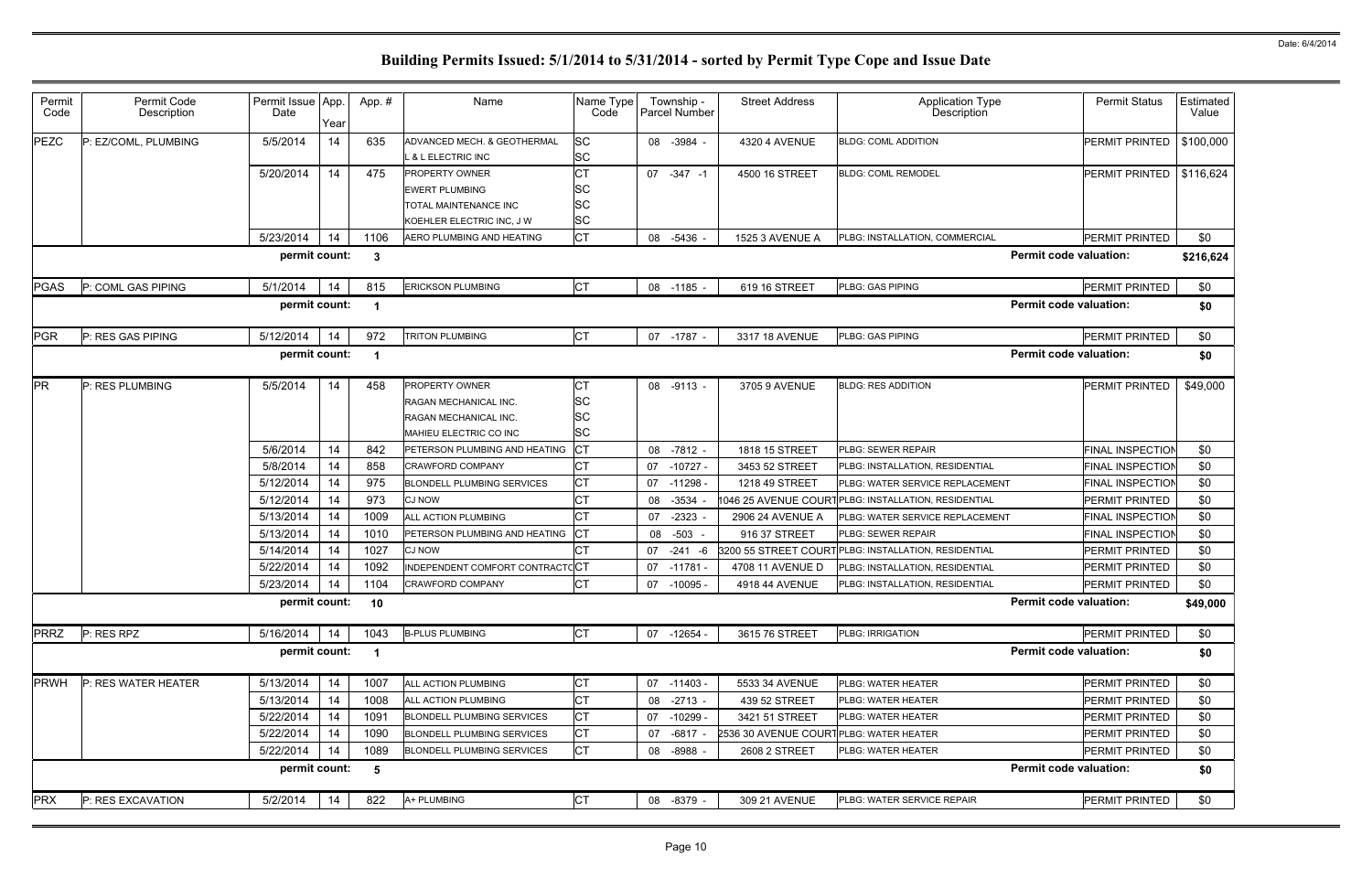| Permit<br>Code | Permit Code<br>Description | Permit Issue App.<br>Date | Year | App.#        | Name                                                                                                     | Name Type<br>Code           |    | Township -<br><b>Parcel Number</b> | <b>Street Address</b> | <b>Application Type</b><br>Description               | <b>Permit Status</b>    | Estimated<br>Value |
|----------------|----------------------------|---------------------------|------|--------------|----------------------------------------------------------------------------------------------------------|-----------------------------|----|------------------------------------|-----------------------|------------------------------------------------------|-------------------------|--------------------|
| PEZC           | P: EZ/COML, PLUMBING       | 5/5/2014                  | 14   | 635          | ADVANCED MECH. & GEOTHERMAL<br><b>8 L ELECTRIC INC</b>                                                   | <b>SC</b><br><b>SC</b>      |    | 08 -3984 -                         | 4320 4 AVENUE         | <b>BLDG: COML ADDITION</b>                           | <b>PERMIT PRINTED</b>   | \$100,000          |
|                |                            | 5/20/2014                 | 14   | 475          | <b>PROPERTY OWNER</b><br><b>EWERT PLUMBING</b><br>TOTAL MAINTENANCE INC<br>KOEHLER ELECTRIC INC, J W     | СT<br>SC<br>SC<br><b>SC</b> | 07 | -347 -1                            | 4500 16 STREET        | <b>BLDG: COML REMODEL</b>                            | <b>PERMIT PRINTED</b>   | \$116,624          |
|                |                            | 5/23/2014                 | 14   | 1106         | AERO PLUMBING AND HEATING                                                                                | <b>CT</b>                   | 08 | $-5436$ -                          | 1525 3 AVENUE A       | PLBG: INSTALLATION, COMMERCIAL                       | <b>PERMIT PRINTED</b>   | \$0                |
|                |                            | permit count:             |      | $\mathbf{3}$ |                                                                                                          |                             |    |                                    |                       | <b>Permit code valuation:</b>                        |                         | \$216,624          |
| <b>PGAS</b>    | P: COML GAS PIPING         | 5/1/2014                  | 14   | 815          | <b>ERICKSON PLUMBING</b>                                                                                 | <b>CT</b>                   |    | 08 -1185 -                         | 619 16 STREET         | PLBG: GAS PIPING                                     | PERMIT PRINTED          | \$0                |
|                |                            | permit count:             |      | -1           |                                                                                                          |                             |    |                                    |                       | <b>Permit code valuation:</b>                        |                         | \$0                |
| PGR            | P: RES GAS PIPING          | 5/12/2014                 | 14   | 972          | <b>TRITON PLUMBING</b>                                                                                   | <b>CT</b>                   |    | 07 -1787 -                         | 3317 18 AVENUE        | PLBG: GAS PIPING                                     | PERMIT PRINTED          | \$0                |
|                |                            | permit count:             |      | -1           |                                                                                                          |                             |    |                                    |                       | <b>Permit code valuation:</b>                        |                         | \$0                |
| <b>PR</b>      | P: RES PLUMBING            | 5/5/2014                  | 14   | 458          | <b>PROPERTY OWNER</b><br><b>RAGAN MECHANICAL INC.</b><br>RAGAN MECHANICAL INC.<br>MAHIEU ELECTRIC CO INC | CТ<br>SC<br>SC<br><b>SC</b> |    | 08 -9113 -                         | 3705 9 AVENUE         | <b>BLDG: RES ADDITION</b>                            | <b>PERMIT PRINTED</b>   | \$49,000           |
|                |                            | 5/6/2014                  | 14   | 842          | PETERSON PLUMBING AND HEATING                                                                            | СT                          | 08 | -7812 -                            | 1818 15 STREET        | <b>PLBG: SEWER REPAIR</b>                            | <b>FINAL INSPECTION</b> | \$0                |
|                |                            | 5/8/2014                  | 14   | 858          | <b>CRAWFORD COMPANY</b>                                                                                  | СT                          | 07 | -10727 -                           | 3453 52 STREET        | PLBG: INSTALLATION, RESIDENTIAL                      | <b>FINAL INSPECTION</b> | \$0                |
|                |                            | 5/12/2014                 | 14   | 975          | <b>BLONDELL PLUMBING SERVICES</b>                                                                        | СT                          | 07 | -11298                             | 1218 49 STREET        | PLBG: WATER SERVICE REPLACEMENT                      | <b>FINAL INSPECTION</b> | \$0                |
|                |                            | 5/12/2014                 | 14   | 973          | <b>CJ NOW</b>                                                                                            | СT                          | 08 | -3534                              | 046 25 AVENUE COUR    | PLBG: INSTALLATION, RESIDENTIAL                      | PERMIT PRINTED          | \$0                |
|                |                            | 5/13/2014                 | 14   | 1009         | <b>ALL ACTION PLUMBING</b>                                                                               | СT                          | 07 | -2323                              | 2906 24 AVENUE A      | PLBG: WATER SERVICE REPLACEMENT                      | <b>FINAL INSPECTION</b> | \$0                |
|                |                            | 5/13/2014                 | 14   | 1010         | PETERSON PLUMBING AND HEATING                                                                            | СT                          |    | 08 -503 -                          | 916 37 STREET         | <b>PLBG: SEWER REPAIR</b>                            | <b>FINAL INSPECTION</b> | \$0                |
|                |                            | 5/14/2014                 | 14   | 1027         | <b>CJ NOW</b>                                                                                            |                             | 07 | $-241 - 6$                         |                       | 3200 55 STREET COURT PLBG: INSTALLATION, RESIDENTIAL | <b>PERMIT PRINTED</b>   | \$0                |
|                |                            | 5/22/2014                 | 14   | 1092         | INDEPENDENT COMFORT CONTRACT(CT                                                                          |                             | 07 | -11781                             | 4708 11 AVENUE D      | PLBG: INSTALLATION, RESIDENTIAL                      | <b>PERMIT PRINTED</b>   | \$0                |
|                |                            | 5/23/2014                 | 14   | 1104         | <b>CRAWFORD COMPANY</b>                                                                                  | СT                          |    | 07 -10095 -                        | 4918 44 AVENUE        | PLBG: INSTALLATION, RESIDENTIAL                      | <b>PERMIT PRINTED</b>   | \$0                |
|                |                            | permit count:             |      | 10           |                                                                                                          |                             |    |                                    |                       | <b>Permit code valuation:</b>                        |                         | \$49,000           |
| PRRZ           | P: RES RPZ                 | 5/16/2014                 | 14   | 1043         | <b>B-PLUS PLUMBING</b>                                                                                   | СT                          |    | 07 -12654 -                        | 3615 76 STREET        | <b>PLBG: IRRIGATION</b>                              | PERMIT PRINTED          | \$0                |
|                |                            | permit count:             |      | -1           |                                                                                                          |                             |    |                                    |                       | <b>Permit code valuation:</b>                        |                         | \$0                |
| <b>PRWH</b>    | P: RES WATER HEATER        | 5/13/2014                 | 14   | 1007         | ALL ACTION PLUMBING                                                                                      | СT                          |    | 07 -11403 -                        | 5533 34 AVENUE        | PLBG: WATER HEATER                                   | <b>PERMIT PRINTED</b>   | \$0                |
|                |                            | 5/13/2014                 | 14   | 1008         | ALL ACTION PLUMBING                                                                                      | СT                          | 08 | $-2713 -$                          | 439 52 STREET         | PLBG: WATER HEATER                                   | PERMIT PRINTED          | \$0                |
|                |                            | 5/22/2014                 | 14   | 1091         | <b>BLONDELL PLUMBING SERVICES</b>                                                                        | СT                          | 07 | $-10299$                           | 3421 51 STREET        | PLBG: WATER HEATER                                   | PERMIT PRINTED          | \$0                |
|                |                            | 5/22/2014                 | 14   | 1090         | <b>BLONDELL PLUMBING SERVICES</b>                                                                        | СT                          | 07 | $-6817 -$                          | 2536 30 AVENUE COURT  | PLBG: WATER HEATER                                   | PERMIT PRINTED          | \$0                |
|                |                            | 5/22/2014                 | 14   | 1089         | <b>BLONDELL PLUMBING SERVICES</b>                                                                        | СT                          | 08 | $-8988 -$                          | 2608 2 STREET         | PLBG: WATER HEATER                                   | PERMIT PRINTED          | \$0                |
|                |                            | permit count:             |      | $\sqrt{5}$   |                                                                                                          |                             |    |                                    |                       | <b>Permit code valuation:</b>                        |                         | \$0                |
| <b>PRX</b>     | P: RES EXCAVATION          | 5/2/2014                  | 14   | 822          | A+ PLUMBING                                                                                              | <b>CT</b>                   |    | 08 -8379 -                         | 309 21 AVENUE         | PLBG: WATER SERVICE REPAIR                           | PERMIT PRINTED          | \$0                |